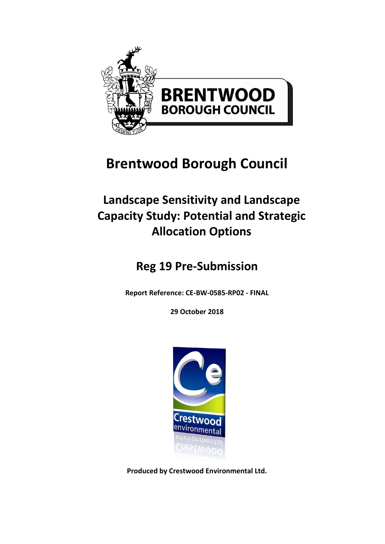

# **Brentwood Borough Council**

# **Landscape Sensitivity and Landscape Capacity Study: Potential and Strategic Allocation Options**

# **Reg 19 Pre-Submission**

**Report Reference: CE-BW-0585-RP02 - FINAL**

**29 October 2018**



**Produced by Crestwood Environmental Ltd.**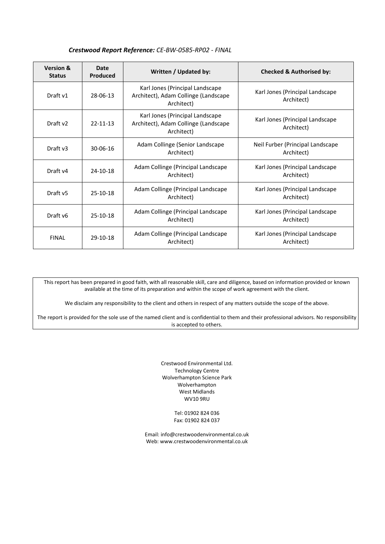| <b>Version &amp;</b><br><b>Status</b> | Date<br><b>Produced</b> | Written / Updated by:                                                                 | <b>Checked &amp; Authorised by:</b>            |
|---------------------------------------|-------------------------|---------------------------------------------------------------------------------------|------------------------------------------------|
| Draft v1                              | 28-06-13                | Karl Jones (Principal Landscape<br>Architect), Adam Collinge (Landscape<br>Architect) | Karl Jones (Principal Landscape<br>Architect)  |
| Draft v2                              | $22 - 11 - 13$          | Karl Jones (Principal Landscape<br>Architect), Adam Collinge (Landscape<br>Architect) | Karl Jones (Principal Landscape<br>Architect)  |
| Draft v3                              | $30 - 06 - 16$          | Adam Collinge (Senior Landscape<br>Architect)                                         | Neil Furber (Principal Landscape<br>Architect) |
| Draft v4                              | 24-10-18                | Adam Collinge (Principal Landscape<br>Architect)                                      | Karl Jones (Principal Landscape<br>Architect)  |
| Draft v <sub>5</sub>                  | $25-10-18$              | Adam Collinge (Principal Landscape<br>Architect)                                      | Karl Jones (Principal Landscape<br>Architect)  |
| Draft v6                              | $25-10-18$              | Adam Collinge (Principal Landscape<br>Architect)                                      | Karl Jones (Principal Landscape<br>Architect)  |
| <b>FINAL</b>                          | $29-10-18$              | Adam Collinge (Principal Landscape<br>Architect)                                      | Karl Jones (Principal Landscape<br>Architect)  |

#### *Crestwood Report Reference: CE-BW-0585-RP02 - FINAL*

This report has been prepared in good faith, with all reasonable skill, care and diligence, based on information provided or known available at the time of its preparation and within the scope of work agreement with the client.

We disclaim any responsibility to the client and others in respect of any matters outside the scope of the above.

The report is provided for the sole use of the named client and is confidential to them and their professional advisors. No responsibility is accepted to others.

> Crestwood Environmental Ltd. Technology Centre Wolverhampton Science Park Wolverhampton West Midlands WV10 9RU

> > Tel: 01902 824 036 Fax: 01902 824 037

Email[: info@crestwoodenvironmental.co.uk](mailto:info@crestwoodenvironmental.co.uk) Web: www.crestwoodenvironmental.co.uk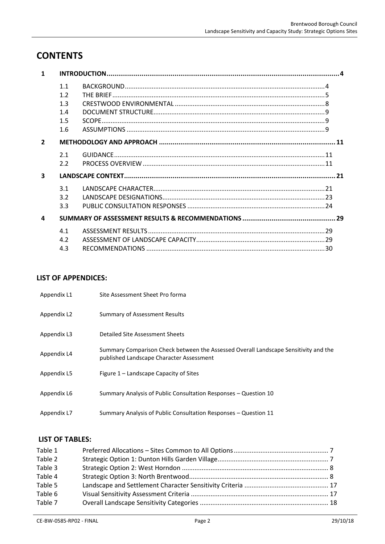# **CONTENTS**

| $\mathbf{1}$   |     |  |
|----------------|-----|--|
|                | 1.1 |  |
|                | 1.2 |  |
|                | 1.3 |  |
|                | 1.4 |  |
|                | 1.5 |  |
|                | 1.6 |  |
| $\overline{2}$ |     |  |
|                | 2.1 |  |
|                | 2.2 |  |
| 3              |     |  |
|                | 3.1 |  |
|                | 3.2 |  |
|                | 3.3 |  |
| 4              |     |  |
|                | 4.1 |  |
|                | 4.2 |  |
|                | 4.3 |  |

# **LIST OF APPENDICES:**

| Appendix L1 | Site Assessment Sheet Pro forma                                                                                                 |
|-------------|---------------------------------------------------------------------------------------------------------------------------------|
| Appendix L2 | Summary of Assessment Results                                                                                                   |
| Appendix L3 | Detailed Site Assessment Sheets                                                                                                 |
| Appendix L4 | Summary Comparison Check between the Assessed Overall Landscape Sensitivity and the<br>published Landscape Character Assessment |
| Appendix L5 | Figure 1 – Landscape Capacity of Sites                                                                                          |
| Appendix L6 | Summary Analysis of Public Consultation Responses - Question 10                                                                 |
| Appendix L7 | Summary Analysis of Public Consultation Responses - Question 11                                                                 |

# **LIST OF TABLES:**

| Table 1 |  |
|---------|--|
| Table 2 |  |
| Table 3 |  |
| Table 4 |  |
| Table 5 |  |
| Table 6 |  |
| Table 7 |  |
|         |  |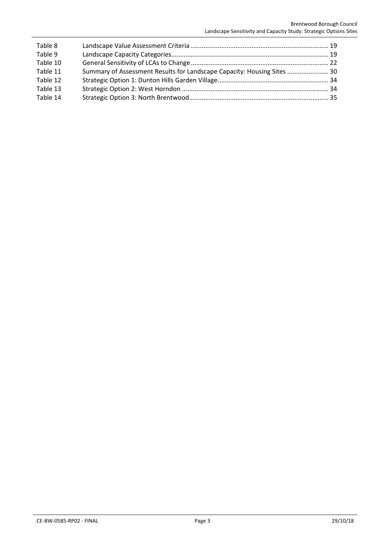| Table 8  |                                                                         |  |
|----------|-------------------------------------------------------------------------|--|
| Table 9  |                                                                         |  |
| Table 10 |                                                                         |  |
| Table 11 | Summary of Assessment Results for Landscape Capacity: Housing Sites  30 |  |
| Table 12 |                                                                         |  |
| Table 13 |                                                                         |  |
| Table 14 |                                                                         |  |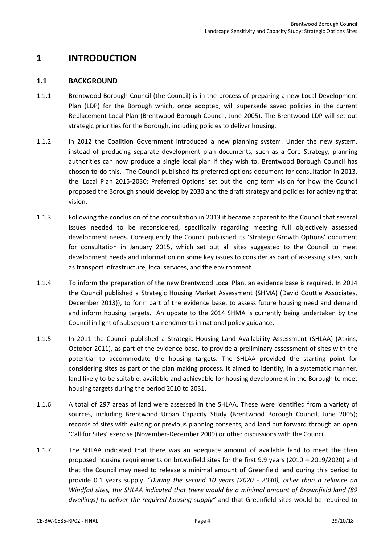# <span id="page-4-1"></span><span id="page-4-0"></span>**1 INTRODUCTION**

### **1.1 BACKGROUND**

- 1.1.1 Brentwood Borough Council (the Council) is in the process of preparing a new Local Development Plan (LDP) for the Borough which, once adopted, will supersede saved policies in the current Replacement Local Plan (Brentwood Borough Council, June 2005). The Brentwood LDP will set out strategic priorities for the Borough, including policies to deliver housing.
- 1.1.2 In 2012 the Coalition Government introduced a new planning system. Under the new system, instead of producing separate development plan documents, such as a Core Strategy, planning authorities can now produce a single local plan if they wish to. Brentwood Borough Council has chosen to do this. The Council published its preferred options document for consultation in 2013, the 'Local Plan 2015-2030: Preferred Options' set out the long term vision for how the Council proposed the Borough should develop by 2030 and the draft strategy and policies for achieving that vision.
- 1.1.3 Following the conclusion of the consultation in 2013 it became apparent to the Council that several issues needed to be reconsidered, specifically regarding meeting full objectively assessed development needs. Consequently the Council published its 'Strategic Growth Options' document for consultation in January 2015, which set out all sites suggested to the Council to meet development needs and information on some key issues to consider as part of assessing sites, such as transport infrastructure, local services, and the environment.
- 1.1.4 To inform the preparation of the new Brentwood Local Plan, an evidence base is required. In 2014 the Council published a Strategic Housing Market Assessment (SHMA) (David Couttie Associates, December 2013)), to form part of the evidence base, to assess future housing need and demand and inform housing targets. An update to the 2014 SHMA is currently being undertaken by the Council in light of subsequent amendments in national policy guidance.
- 1.1.5 In 2011 the Council published a Strategic Housing Land Availability Assessment (SHLAA) (Atkins, October 2011), as part of the evidence base, to provide a preliminary assessment of sites with the potential to accommodate the housing targets. The SHLAA provided the starting point for considering sites as part of the plan making process. It aimed to identify, in a systematic manner, land likely to be suitable, available and achievable for housing development in the Borough to meet housing targets during the period 2010 to 2031.
- 1.1.6 A total of 297 areas of land were assessed in the SHLAA. These were identified from a variety of sources, including Brentwood Urban Capacity Study (Brentwood Borough Council, June 2005); records of sites with existing or previous planning consents; and land put forward through an open 'Call for Sites' exercise (November-December 2009) or other discussions with the Council.
- 1.1.7 The SHLAA indicated that there was an adequate amount of available land to meet the then proposed housing requirements on brownfield sites for the first 9.9 years (2010 – 2019/2020) and that the Council may need to release a minimal amount of Greenfield land during this period to provide 0.1 years supply. "*During the second 10 years (2020 - 2030), other than a reliance on Windfall sites, the SHLAA indicated that there would be a minimal amount of Brownfield land (89 dwellings) to deliver the required housing supply"* and that Greenfield sites would be required to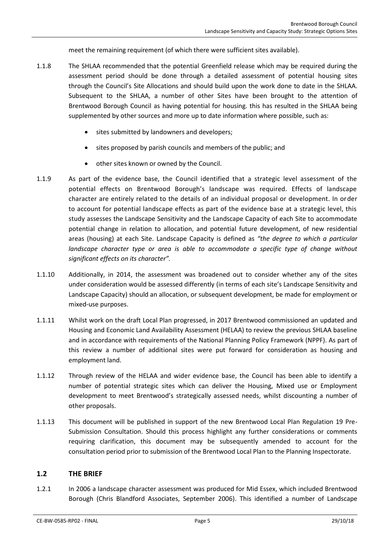meet the remaining requirement (of which there were sufficient sites available).

- 1.1.8 The SHLAA recommended that the potential Greenfield release which may be required during the assessment period should be done through a detailed assessment of potential housing sites through the Council's Site Allocations and should build upon the work done to date in the SHLAA. Subsequent to the SHLAA, a number of other Sites have been brought to the attention of Brentwood Borough Council as having potential for housing. this has resulted in the SHLAA being supplemented by other sources and more up to date information where possible, such as:
	- **•** sites submitted by landowners and developers;
	- sites proposed by parish councils and members of the public; and
	- other sites known or owned by the Council.
- 1.1.9 As part of the evidence base, the Council identified that a strategic level assessment of the potential effects on Brentwood Borough's landscape was required. Effects of landscape character are entirely related to the details of an individual proposal or development. In order to account for potential landscape effects as part of the evidence base at a strategic level, this study assesses the Landscape Sensitivity and the Landscape Capacity of each Site to accommodate potential change in relation to allocation, and potential future development, of new residential areas (housing) at each Site. Landscape Capacity is defined as *"the degree to which a particular landscape character type or area is able to accommodate a specific type of change without significant effects on its character".*
- 1.1.10 Additionally, in 2014, the assessment was broadened out to consider whether any of the sites under consideration would be assessed differently (in terms of each site's Landscape Sensitivity and Landscape Capacity) should an allocation, or subsequent development, be made for employment or mixed-use purposes.
- 1.1.11 Whilst work on the draft Local Plan progressed, in 2017 Brentwood commissioned an updated and Housing and Economic Land Availability Assessment (HELAA) to review the previous SHLAA baseline and in accordance with requirements of the National Planning Policy Framework (NPPF). As part of this review a number of additional sites were put forward for consideration as housing and employment land.
- 1.1.12 Through review of the HELAA and wider evidence base, the Council has been able to identify a number of potential strategic sites which can deliver the Housing, Mixed use or Employment development to meet Brentwood's strategically assessed needs, whilst discounting a number of other proposals.
- 1.1.13 This document will be published in support of the new Brentwood Local Plan Regulation 19 Pre-Submission Consultation. Should this process highlight any further considerations or comments requiring clarification, this document may be subsequently amended to account for the consultation period prior to submission of the Brentwood Local Plan to the Planning Inspectorate.

### <span id="page-5-0"></span>**1.2 THE BRIEF**

1.2.1 In 2006 a landscape character assessment was produced for Mid Essex, which included Brentwood Borough (Chris Blandford Associates, September 2006). This identified a number of Landscape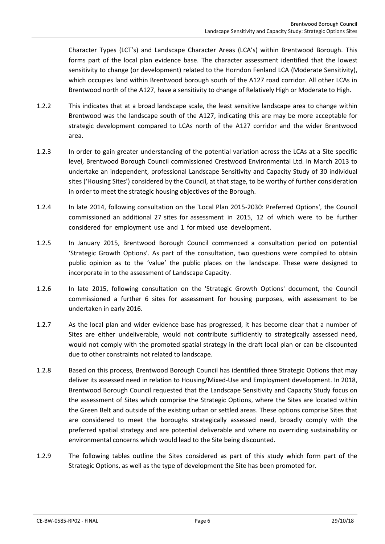Character Types (LCT's) and Landscape Character Areas (LCA's) within Brentwood Borough. This forms part of the local plan evidence base. The character assessment identified that the lowest sensitivity to change (or development) related to the Horndon Fenland LCA (Moderate Sensitivity), which occupies land within Brentwood borough south of the A127 road corridor. All other LCAs in Brentwood north of the A127, have a sensitivity to change of Relatively High or Moderate to High.

- 1.2.2 This indicates that at a broad landscape scale, the least sensitive landscape area to change within Brentwood was the landscape south of the A127, indicating this are may be more acceptable for strategic development compared to LCAs north of the A127 corridor and the wider Brentwood area.
- 1.2.3 In order to gain greater understanding of the potential variation across the LCAs at a Site specific level, Brentwood Borough Council commissioned Crestwood Environmental Ltd. in March 2013 to undertake an independent, professional Landscape Sensitivity and Capacity Study of 30 individual sites ('Housing Sites') considered by the Council, at that stage, to be worthy of further consideration in order to meet the strategic housing objectives of the Borough.
- 1.2.4 In late 2014, following consultation on the 'Local Plan 2015-2030: Preferred Options', the Council commissioned an additional 27 sites for assessment in 2015, 12 of which were to be further considered for employment use and 1 for mixed use development.
- 1.2.5 In January 2015, Brentwood Borough Council commenced a consultation period on potential 'Strategic Growth Options'. As part of the consultation, two questions were compiled to obtain public opinion as to the 'value' the public places on the landscape. These were designed to incorporate in to the assessment of Landscape Capacity.
- 1.2.6 In late 2015, following consultation on the 'Strategic Growth Options' document, the Council commissioned a further 6 sites for assessment for housing purposes, with assessment to be undertaken in early 2016.
- 1.2.7 As the local plan and wider evidence base has progressed, it has become clear that a number of Sites are either undeliverable, would not contribute sufficiently to strategically assessed need, would not comply with the promoted spatial strategy in the draft local plan or can be discounted due to other constraints not related to landscape.
- 1.2.8 Based on this process, Brentwood Borough Council has identified three Strategic Options that may deliver its assessed need in relation to Housing/Mixed-Use and Employment development. In 2018, Brentwood Borough Council requested that the Landscape Sensitivity and Capacity Study focus on the assessment of Sites which comprise the Strategic Options, where the Sites are located within the Green Belt and outside of the existing urban or settled areas. These options comprise Sites that are considered to meet the boroughs strategically assessed need, broadly comply with the preferred spatial strategy and are potential deliverable and where no overriding sustainability or environmental concerns which would lead to the Site being discounted.
- 1.2.9 The following tables outline the Sites considered as part of this study which form part of the Strategic Options, as well as the type of development the Site has been promoted for.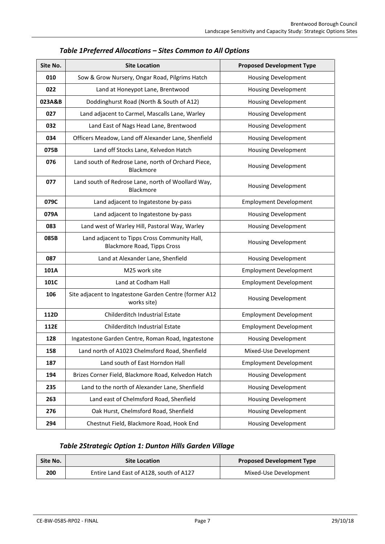<span id="page-7-0"></span>

| Site No. | <b>Site Location</b>                                                               | <b>Proposed Development Type</b> |
|----------|------------------------------------------------------------------------------------|----------------------------------|
| 010      | Sow & Grow Nursery, Ongar Road, Pilgrims Hatch                                     | <b>Housing Development</b>       |
| 022      | Land at Honeypot Lane, Brentwood                                                   | <b>Housing Development</b>       |
| 023A&B   | Doddinghurst Road (North & South of A12)                                           | <b>Housing Development</b>       |
| 027      | Land adjacent to Carmel, Mascalls Lane, Warley                                     | <b>Housing Development</b>       |
| 032      | Land East of Nags Head Lane, Brentwood                                             | <b>Housing Development</b>       |
| 034      | Officers Meadow, Land off Alexander Lane, Shenfield                                | <b>Housing Development</b>       |
| 075B     | Land off Stocks Lane, Kelvedon Hatch                                               | <b>Housing Development</b>       |
| 076      | Land south of Redrose Lane, north of Orchard Piece,<br>Blackmore                   | <b>Housing Development</b>       |
| 077      | Land south of Redrose Lane, north of Woollard Way,<br>Blackmore                    | <b>Housing Development</b>       |
| 079C     | Land adjacent to Ingatestone by-pass                                               | <b>Employment Development</b>    |
| 079A     | Land adjacent to Ingatestone by-pass                                               | <b>Housing Development</b>       |
| 083      | Land west of Warley Hill, Pastoral Way, Warley                                     | <b>Housing Development</b>       |
| 085B     | Land adjacent to Tipps Cross Community Hall,<br><b>Blackmore Road, Tipps Cross</b> | <b>Housing Development</b>       |
| 087      | Land at Alexander Lane, Shenfield                                                  | <b>Housing Development</b>       |
| 101A     | M25 work site                                                                      | <b>Employment Development</b>    |
| 101C     | Land at Codham Hall                                                                | <b>Employment Development</b>    |
| 106      | Site adjacent to Ingatestone Garden Centre (former A12<br>works site)              | <b>Housing Development</b>       |
| 112D     | Childerditch Industrial Estate                                                     | <b>Employment Development</b>    |
| 112E     | Childerditch Industrial Estate                                                     | <b>Employment Development</b>    |
| 128      | Ingatestone Garden Centre, Roman Road, Ingatestone                                 | <b>Housing Development</b>       |
| 158      | Land north of A1023 Chelmsford Road, Shenfield                                     | Mixed-Use Development            |
| 187      | Land south of East Horndon Hall                                                    | <b>Employment Development</b>    |
| 194      | Brizes Corner Field, Blackmore Road, Kelvedon Hatch                                | <b>Housing Development</b>       |
| 235      | Land to the north of Alexander Lane, Shenfield                                     | <b>Housing Development</b>       |
| 263      | Land east of Chelmsford Road, Shenfield                                            | <b>Housing Development</b>       |
| 276      | Oak Hurst, Chelmsford Road, Shenfield                                              | <b>Housing Development</b>       |
| 294      | Chestnut Field, Blackmore Road, Hook End                                           | <b>Housing Development</b>       |

# *Table 1Preferred Allocations – Sites Common to All Options*

# *Table 2Strategic Option 1: Dunton Hills Garden Village*

<span id="page-7-1"></span>

| Site No.<br><b>Site Location</b> |                                         | <b>Proposed Development Type</b> |  |  |
|----------------------------------|-----------------------------------------|----------------------------------|--|--|
| 200                              | Entire Land East of A128, south of A127 | Mixed-Use Development            |  |  |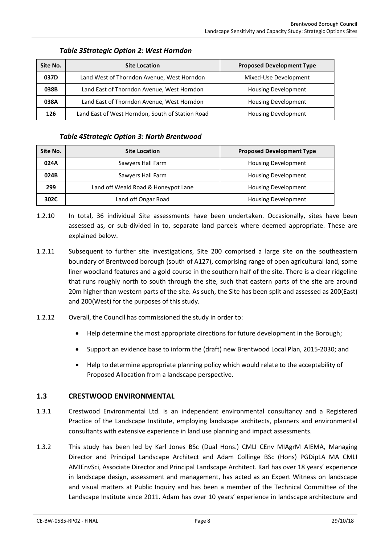<span id="page-8-1"></span>

| Site No. | <b>Site Location</b>                             | <b>Proposed Development Type</b> |  |  |
|----------|--------------------------------------------------|----------------------------------|--|--|
| 037D     | Land West of Thorndon Avenue, West Horndon       | Mixed-Use Development            |  |  |
| 038B     | Land East of Thorndon Avenue, West Horndon       | <b>Housing Development</b>       |  |  |
| 038A     | Land East of Thorndon Avenue, West Horndon       | <b>Housing Development</b>       |  |  |
| 126      | Land East of West Horndon, South of Station Road | <b>Housing Development</b>       |  |  |

### *Table 3Strategic Option 2: West Horndon*

#### *Table 4Strategic Option 3: North Brentwood*

<span id="page-8-2"></span>

| Site No. | <b>Site Location</b>                | <b>Proposed Development Type</b> |  |  |
|----------|-------------------------------------|----------------------------------|--|--|
| 024A     | Sawyers Hall Farm                   | <b>Housing Development</b>       |  |  |
| 024B     | Sawyers Hall Farm                   | <b>Housing Development</b>       |  |  |
| 299      | Land off Weald Road & Honeypot Lane | <b>Housing Development</b>       |  |  |
| 302C     | Land off Ongar Road                 | <b>Housing Development</b>       |  |  |

- 1.2.10 In total, 36 individual Site assessments have been undertaken. Occasionally, sites have been assessed as, or sub-divided in to, separate land parcels where deemed appropriate. These are explained below.
- 1.2.11 Subsequent to further site investigations, Site 200 comprised a large site on the southeastern boundary of Brentwood borough (south of A127), comprising range of open agricultural land, some liner woodland features and a gold course in the southern half of the site. There is a clear ridgeline that runs roughly north to south through the site, such that eastern parts of the site are around 20m higher than western parts of the site. As such, the Site has been split and assessed as 200(East) and 200(West) for the purposes of this study.
- 1.2.12 Overall, the Council has commissioned the study in order to:
	- Help determine the most appropriate directions for future development in the Borough;
	- Support an evidence base to inform the (draft) new Brentwood Local Plan, 2015-2030; and
	- Help to determine appropriate planning policy which would relate to the acceptability of Proposed Allocation from a landscape perspective.

# <span id="page-8-0"></span>**1.3 CRESTWOOD ENVIRONMENTAL**

- 1.3.1 Crestwood Environmental Ltd. is an independent environmental consultancy and a Registered Practice of the Landscape Institute, employing landscape architects, planners and environmental consultants with extensive experience in land use planning and impact assessments.
- 1.3.2 This study has been led by Karl Jones BSc (Dual Hons.) CMLI CEnv MIAgrM AIEMA, Managing Director and Principal Landscape Architect and Adam Collinge BSc (Hons) PGDipLA MA CMLI AMIEnvSci, Associate Director and Principal Landscape Architect. Karl has over 18 years' experience in landscape design, assessment and management, has acted as an Expert Witness on landscape and visual matters at Public Inquiry and has been a member of the Technical Committee of the Landscape Institute since 2011. Adam has over 10 years' experience in landscape architecture and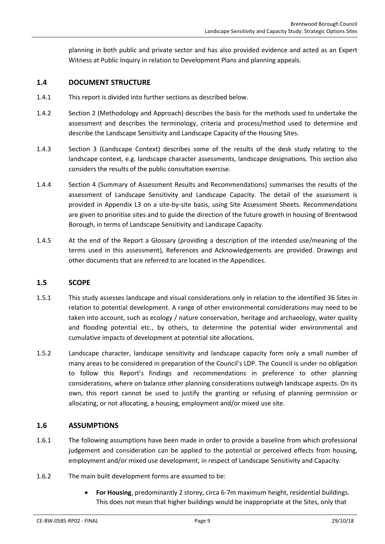planning in both public and private sector and has also provided evidence and acted as an Expert Witness at Public Inquiry in relation to Development Plans and planning appeals.

### <span id="page-9-0"></span>**1.4 DOCUMENT STRUCTURE**

- 1.4.1 This report is divided into further sections as described below.
- 1.4.2 Section 2 (Methodology and Approach) describes the basis for the methods used to undertake the assessment and describes the terminology, criteria and process/method used to determine and describe the Landscape Sensitivity and Landscape Capacity of the Housing Sites.
- 1.4.3 Section 3 (Landscape Context) describes some of the results of the desk study relating to the landscape context, e.g. landscape character assessments, landscape designations. This section also considers the results of the public consultation exercise.
- 1.4.4 Section 4 (Summary of Assessment Results and Recommendations) summarises the results of the assessment of Landscape Sensitivity and Landscape Capacity. The detail of the assessment is provided in Appendix L3 on a site-by-site basis, using Site Assessment Sheets. Recommendations are given to prioritise sites and to guide the direction of the future growth in housing of Brentwood Borough, in terms of Landscape Sensitivity and Landscape Capacity.
- 1.4.5 At the end of the Report a Glossary (providing a description of the intended use/meaning of the terms used in this assessment), References and Acknowledgements are provided. Drawings and other documents that are referred to are located in the Appendices.

# <span id="page-9-1"></span>**1.5 SCOPE**

- 1.5.1 This study assesses landscape and visual considerations only in relation to the identified 36 Sites in relation to potential development. A range of other environmental considerations may need to be taken into account, such as ecology / nature conservation, heritage and archaeology, water quality and flooding potential etc., by others, to determine the potential wider environmental and cumulative impacts of development at potential site allocations.
- 1.5.2 Landscape character, landscape sensitivity and landscape capacity form only a small number of many areas to be considered in preparation of the Council's LDP. The Council is under no obligation to follow this Report's findings and recommendations in preference to other planning considerations, where on balance other planning considerations outweigh landscape aspects. On its own, this report cannot be used to justify the granting or refusing of planning permission or allocating, or not allocating, a housing, employment and/or mixed use site.

# <span id="page-9-2"></span>**1.6 ASSUMPTIONS**

- 1.6.1 The following assumptions have been made in order to provide a baseline from which professional judgement and consideration can be applied to the potential or perceived effects from housing, employment and/or mixed use development, in respect of Landscape Sensitivity and Capacity.
- 1.6.2 The main built development forms are assumed to be:
	- **For Housing**, predominantly 2 storey, circa 6-7m maximum height, residential buildings. This does not mean that higher buildings would be inappropriate at the Sites, only that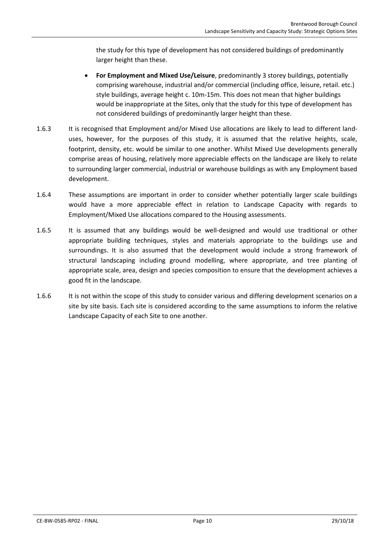the study for this type of development has not considered buildings of predominantly larger height than these.

- **For Employment and Mixed Use/Leisure**, predominantly 3 storey buildings, potentially comprising warehouse, industrial and/or commercial (including office, leisure, retail. etc.) style buildings, average height c. 10m-15m. This does not mean that higher buildings would be inappropriate at the Sites, only that the study for this type of development has not considered buildings of predominantly larger height than these.
- 1.6.3 It is recognised that Employment and/or Mixed Use allocations are likely to lead to different landuses, however, for the purposes of this study, it is assumed that the relative heights, scale, footprint, density, etc. would be similar to one another. Whilst Mixed Use developments generally comprise areas of housing, relatively more appreciable effects on the landscape are likely to relate to surrounding larger commercial, industrial or warehouse buildings as with any Employment based development.
- 1.6.4 These assumptions are important in order to consider whether potentially larger scale buildings would have a more appreciable effect in relation to Landscape Capacity with regards to Employment/Mixed Use allocations compared to the Housing assessments.
- 1.6.5 It is assumed that any buildings would be well-designed and would use traditional or other appropriate building techniques, styles and materials appropriate to the buildings use and surroundings. It is also assumed that the development would include a strong framework of structural landscaping including ground modelling, where appropriate, and tree planting of appropriate scale, area, design and species composition to ensure that the development achieves a good fit in the landscape.
- 1.6.6 It is not within the scope of this study to consider various and differing development scenarios on a site by site basis. Each site is considered according to the same assumptions to inform the relative Landscape Capacity of each Site to one another.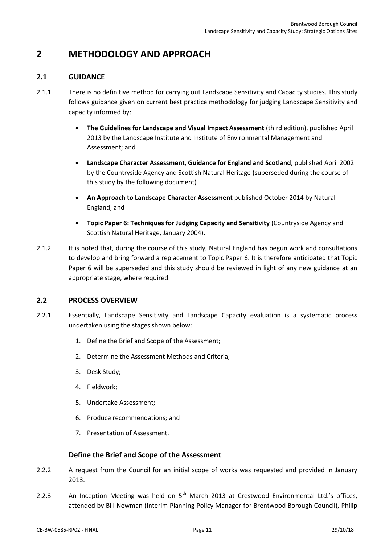# <span id="page-11-0"></span>**2 METHODOLOGY AND APPROACH**

# <span id="page-11-1"></span>**2.1 GUIDANCE**

- 2.1.1 There is no definitive method for carrying out Landscape Sensitivity and Capacity studies. This study follows guidance given on current best practice methodology for judging Landscape Sensitivity and capacity informed by:
	- **The Guidelines for Landscape and Visual Impact Assessment** (third edition), published April 2013 by the Landscape Institute and Institute of Environmental Management and Assessment; and
	- **Landscape Character Assessment, Guidance for England and Scotland**, published April 2002 by the Countryside Agency and Scottish Natural Heritage (superseded during the course of this study by the following document)
	- **An Approach to Landscape Character Assessment** published October 2014 by Natural England; and
	- **Topic Paper 6: Techniques for Judging Capacity and Sensitivity** (Countryside Agency and Scottish Natural Heritage, January 2004)**.**
- 2.1.2 It is noted that, during the course of this study, Natural England has begun work and consultations to develop and bring forward a replacement to Topic Paper 6. It is therefore anticipated that Topic Paper 6 will be superseded and this study should be reviewed in light of any new guidance at an appropriate stage, where required.

### <span id="page-11-2"></span>**2.2 PROCESS OVERVIEW**

- 2.2.1 Essentially, Landscape Sensitivity and Landscape Capacity evaluation is a systematic process undertaken using the stages shown below:
	- 1. Define the Brief and Scope of the Assessment;
	- 2. Determine the Assessment Methods and Criteria;
	- 3. Desk Study;
	- 4. Fieldwork;
	- 5. Undertake Assessment;
	- 6. Produce recommendations; and
	- 7. Presentation of Assessment.

# **Define the Brief and Scope of the Assessment**

- 2.2.2 A request from the Council for an initial scope of works was requested and provided in January 2013.
- 2.2.3 An Inception Meeting was held on 5<sup>th</sup> March 2013 at Crestwood Environmental Ltd.'s offices, attended by Bill Newman (Interim Planning Policy Manager for Brentwood Borough Council), Philip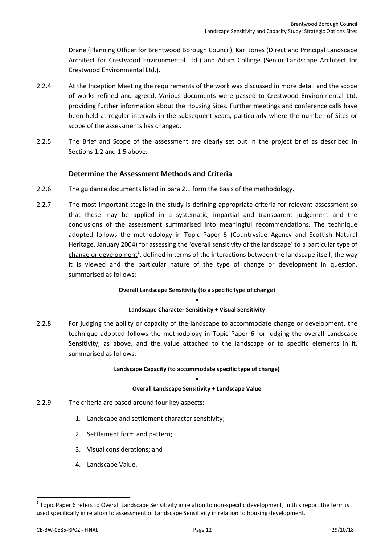Drane (Planning Officer for Brentwood Borough Council), Karl Jones (Direct and Principal Landscape Architect for Crestwood Environmental Ltd.) and Adam Collinge (Senior Landscape Architect for Crestwood Environmental Ltd.).

- 2.2.4 At the Inception Meeting the requirements of the work was discussed in more detail and the scope of works refined and agreed. Various documents were passed to Crestwood Environmental Ltd. providing further information about the Housing Sites. Further meetings and conference calls have been held at regular intervals in the subsequent years, particularly where the number of Sites or scope of the assessments has changed.
- 2.2.5 The Brief and Scope of the assessment are clearly set out in the project brief as described in Sections [1.2](#page-5-0) an[d 1.5](#page-9-1) above.

# **Determine the Assessment Methods and Criteria**

- 2.2.6 The guidance documents listed in para [2.1](#page-11-1) form the basis of the methodology.
- 2.2.7 The most important stage in the study is defining appropriate criteria for relevant assessment so that these may be applied in a systematic, impartial and transparent judgement and the conclusions of the assessment summarised into meaningful recommendations. The technique adopted follows the methodology in Topic Paper 6 (Countryside Agency and Scottish Natural Heritage, January 2004) for assessing the 'overall sensitivity of the landscape' to a particular type of change or development<sup>1</sup>, defined in terms of the interactions between the landscape itself, the way it is viewed and the particular nature of the type of change or development in question, summarised as follows:

#### **Overall Landscape Sensitivity (to a specific type of change)**

#### **= Landscape Character Sensitivity + Visual Sensitivity**

2.2.8 For judging the ability or capacity of the landscape to accommodate change or development, the technique adopted follows the methodology in Topic Paper 6 for judging the overall Landscape Sensitivity, as above, and the value attached to the landscape or to specific elements in it, summarised as follows:

#### **Landscape Capacity (to accommodate specific type of change) =**

#### **Overall Landscape Sensitivity + Landscape Value**

- <span id="page-12-0"></span>2.2.9 The criteria are based around four key aspects:
	- 1. Landscape and settlement character sensitivity;
	- 2. Settlement form and pattern;
	- 3. Visual considerations; and
	- 4. Landscape Value.

CE-BW-0585-RP02 - FINAL Page 12 29/10/18

**.** 

 $1$ Topic Paper 6 refers to Overall Landscape Sensitivity in relation to non-specific development; in this report the term is used specifically in relation to assessment of Landscape Sensitivity in relation to housing development.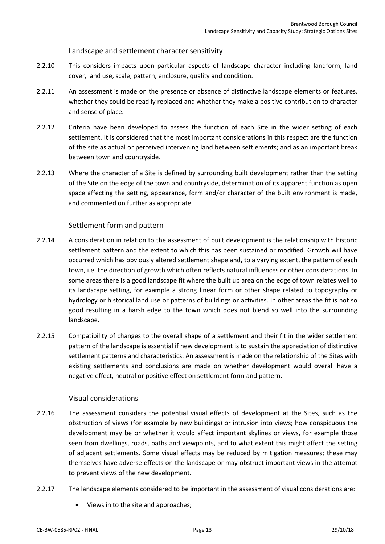Landscape and settlement character sensitivity

- 2.2.10 This considers impacts upon particular aspects of landscape character including landform, land cover, land use, scale, pattern, enclosure, quality and condition.
- 2.2.11 An assessment is made on the presence or absence of distinctive landscape elements or features, whether they could be readily replaced and whether they make a positive contribution to character and sense of place.
- 2.2.12 Criteria have been developed to assess the function of each Site in the wider setting of each settlement. It is considered that the most important considerations in this respect are the function of the site as actual or perceived intervening land between settlements; and as an important break between town and countryside.
- 2.2.13 Where the character of a Site is defined by surrounding built development rather than the setting of the Site on the edge of the town and countryside, determination of its apparent function as open space affecting the setting, appearance, form and/or character of the built environment is made, and commented on further as appropriate.

# Settlement form and pattern

- 2.2.14 A consideration in relation to the assessment of built development is the relationship with historic settlement pattern and the extent to which this has been sustained or modified. Growth will have occurred which has obviously altered settlement shape and, to a varying extent, the pattern of each town, i.e. the direction of growth which often reflects natural influences or other considerations. In some areas there is a good landscape fit where the built up area on the edge of town relates well to its landscape setting, for example a strong linear form or other shape related to topography or hydrology or historical land use or patterns of buildings or activities. In other areas the fit is not so good resulting in a harsh edge to the town which does not blend so well into the surrounding landscape.
- 2.2.15 Compatibility of changes to the overall shape of a settlement and their fit in the wider settlement pattern of the landscape is essential if new development is to sustain the appreciation of distinctive settlement patterns and characteristics. An assessment is made on the relationship of the Sites with existing settlements and conclusions are made on whether development would overall have a negative effect, neutral or positive effect on settlement form and pattern.

# Visual considerations

- 2.2.16 The assessment considers the potential visual effects of development at the Sites, such as the obstruction of views (for example by new buildings) or intrusion into views; how conspicuous the development may be or whether it would affect important skylines or views, for example those seen from dwellings, roads, paths and viewpoints, and to what extent this might affect the setting of adjacent settlements. Some visual effects may be reduced by mitigation measures; these may themselves have adverse effects on the landscape or may obstruct important views in the attempt to prevent views of the new development.
- 2.2.17 The landscape elements considered to be important in the assessment of visual considerations are:
	- Views in to the site and approaches;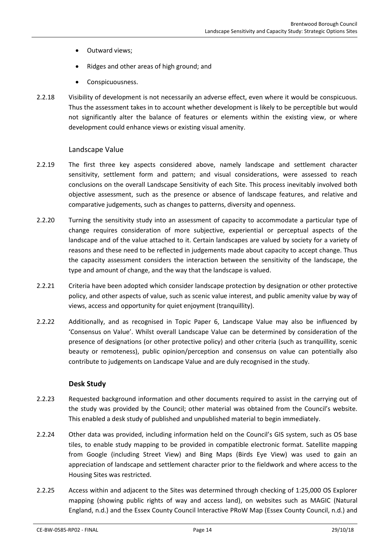- Outward views;
- Ridges and other areas of high ground; and
- Conspicuousness.
- 2.2.18 Visibility of development is not necessarily an adverse effect, even where it would be conspicuous. Thus the assessment takes in to account whether development is likely to be perceptible but would not significantly alter the balance of features or elements within the existing view, or where development could enhance views or existing visual amenity.

### Landscape Value

- 2.2.19 The first three key aspects considered above, namely landscape and settlement character sensitivity, settlement form and pattern; and visual considerations, were assessed to reach conclusions on the overall Landscape Sensitivity of each Site. This process inevitably involved both objective assessment, such as the presence or absence of landscape features, and relative and comparative judgements, such as changes to patterns, diversity and openness.
- 2.2.20 Turning the sensitivity study into an assessment of capacity to accommodate a particular type of change requires consideration of more subjective, experiential or perceptual aspects of the landscape and of the value attached to it. Certain landscapes are valued by society for a variety of reasons and these need to be reflected in judgements made about capacity to accept change. Thus the capacity assessment considers the interaction between the sensitivity of the landscape, the type and amount of change, and the way that the landscape is valued.
- 2.2.21 Criteria have been adopted which consider landscape protection by designation or other protective policy, and other aspects of value, such as scenic value interest, and public amenity value by way of views, access and opportunity for quiet enjoyment (tranquillity).
- 2.2.22 Additionally, and as recognised in Topic Paper 6, Landscape Value may also be influenced by 'Consensus on Value'. Whilst overall Landscape Value can be determined by consideration of the presence of designations (or other protective policy) and other criteria (such as tranquillity, scenic beauty or remoteness), public opinion/perception and consensus on value can potentially also contribute to judgements on Landscape Value and are duly recognised in the study.

# **Desk Study**

- 2.2.23 Requested background information and other documents required to assist in the carrying out of the study was provided by the Council; other material was obtained from the Council's website. This enabled a desk study of published and unpublished material to begin immediately.
- 2.2.24 Other data was provided, including information held on the Council's GIS system, such as OS base tiles, to enable study mapping to be provided in compatible electronic format. Satellite mapping from Google (including Street View) and Bing Maps (Birds Eye View) was used to gain an appreciation of landscape and settlement character prior to the fieldwork and where access to the Housing Sites was restricted.
- 2.2.25 Access within and adjacent to the Sites was determined through checking of 1:25,000 OS Explorer mapping (showing public rights of way and access land), on websites such as MAGIC (Natural England, n.d.) and the Essex County Council Interactive PRoW Map (Essex County Council, n.d.) and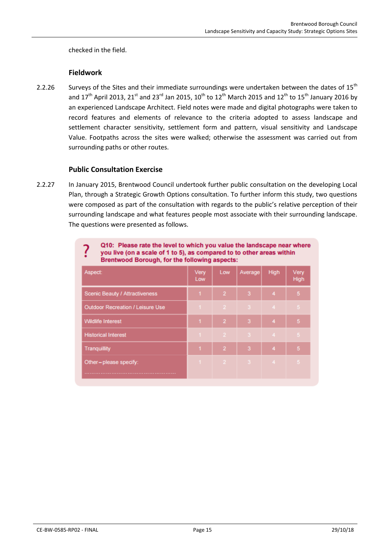checked in the field.

### **Fieldwork**

2.2.26 Surveys of the Sites and their immediate surroundings were undertaken between the dates of 15<sup>th</sup> and  $17<sup>th</sup>$  April 2013, 21<sup>st</sup> and 23<sup>rd</sup> Jan 2015, 10<sup>th</sup> to 12<sup>th</sup> March 2015 and 12<sup>th</sup> to 15<sup>th</sup> January 2016 by an experienced Landscape Architect. Field notes were made and digital photographs were taken to record features and elements of relevance to the criteria adopted to assess landscape and settlement character sensitivity, settlement form and pattern, visual sensitivity and Landscape Value. Footpaths across the sites were walked; otherwise the assessment was carried out from surrounding paths or other routes.

# **Public Consultation Exercise**

2.2.27 In January 2015, Brentwood Council undertook further public consultation on the developing Local Plan, through a Strategic Growth Options consultation. To further inform this study, two questions were composed as part of the consultation with regards to the public's relative perception of their surrounding landscape and what features people most associate with their surrounding landscape. The questions were presented as follows.

| Q10: Please rate the level to which you value the landscape near where<br>you live (on a scale of 1 to 5), as compared to to other areas within<br><b>Brentwood Borough, for the following aspects:</b> |             |                |         |                |                |
|---------------------------------------------------------------------------------------------------------------------------------------------------------------------------------------------------------|-------------|----------------|---------|----------------|----------------|
| Aspect:                                                                                                                                                                                                 | Very<br>Low | Low            | Average | <b>High</b>    | Very<br>High   |
| Scenic Beauty / Attractiveness                                                                                                                                                                          |             | $\overline{2}$ | 3       | 4              | 5              |
| Outdoor Recreation / Leisure Use                                                                                                                                                                        |             | 2.             | -31     | 4 <sup>1</sup> | 5.             |
| <b>Wildlife Interest</b>                                                                                                                                                                                |             | $\overline{2}$ | з       | 4              | 5              |
| <b>Historical Interest</b>                                                                                                                                                                              |             | $\mathcal{P}$  | -3-     | 4 <sub>1</sub> | 5              |
| Tranquillity                                                                                                                                                                                            |             | $\overline{2}$ | 3       | 4              | 5              |
| Other-please specify:                                                                                                                                                                                   | $1 - 1$     |                | 2 3 4   |                | 5 <sub>1</sub> |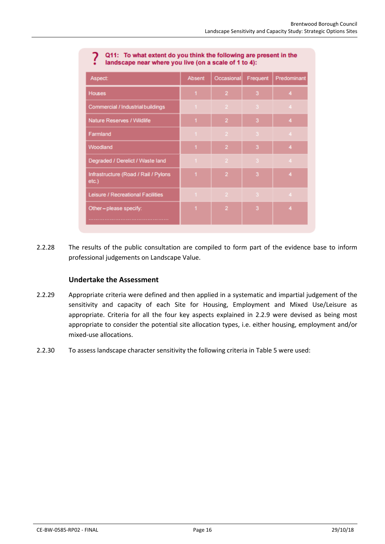| ----- ------ <i>-</i>                            |                |                |          |                |  |
|--------------------------------------------------|----------------|----------------|----------|----------------|--|
| Aspect:                                          | Absent         | Occasional     | Frequent | Predominant    |  |
| <b>Houses</b>                                    | 1              | $\overline{2}$ | 3        | 4              |  |
| Commercial / Industrial buildings                | $\mathbf{1}$   | $\overline{2}$ | 3        | $\overline{4}$ |  |
| Nature Reserves / Wildlife                       | 1              | $\overline{2}$ | 3        | 4              |  |
| Farmland                                         | $\mathbf{1}$   | $\overline{2}$ | 3        | $\overline{4}$ |  |
| Woodland                                         | 1              | $\overline{2}$ | 3        | 4              |  |
| Degraded / Derelict / Waste land                 | $\mathbf{1}$   | $\overline{2}$ | 3        | $\overline{4}$ |  |
| Infrastructure (Road / Rail / Pylons<br>$etc.$ ) | $\overline{1}$ | $\overline{2}$ | 3        | 4              |  |
| Leisure / Recreational Facilities                | $\mathbf{1}$   | $\overline{2}$ | 3        | $\overline{4}$ |  |
| Other-please specify:                            | 1              | $\overline{2}$ | 3        | 4              |  |
|                                                  |                |                |          |                |  |

#### Q11: To what extent do you think the following are present in the landscape near where you live (on a scale of 1 to 4):

2.2.28 The results of the public consultation are compiled to form part of the evidence base to inform professional judgements on Landscape Value.

# **Undertake the Assessment**

- 2.2.29 Appropriate criteria were defined and then applied in a systematic and impartial judgement of the sensitivity and capacity of each Site for Housing, Employment and Mixed Use/Leisure as appropriate. Criteria for all the four key aspects explained in [2.2.9](#page-12-0) were devised as being most appropriate to consider the potential site allocation types, i.e. either housing, employment and/or mixed-use allocations.
- 2.2.30 To assess landscape character sensitivity the following criteria in [Table 5](#page-17-0) were used: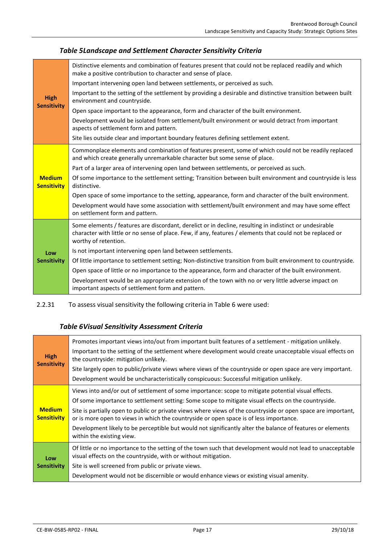<span id="page-17-0"></span>

| <b>High</b><br><b>Sensitivity</b>   | Distinctive elements and combination of features present that could not be replaced readily and which<br>make a positive contribution to character and sense of place.                                                                        |
|-------------------------------------|-----------------------------------------------------------------------------------------------------------------------------------------------------------------------------------------------------------------------------------------------|
|                                     | Important intervening open land between settlements, or perceived as such.                                                                                                                                                                    |
|                                     | Important to the setting of the settlement by providing a desirable and distinctive transition between built<br>environment and countryside.                                                                                                  |
|                                     | Open space important to the appearance, form and character of the built environment.                                                                                                                                                          |
|                                     | Development would be isolated from settlement/built environment or would detract from important<br>aspects of settlement form and pattern.                                                                                                    |
|                                     | Site lies outside clear and important boundary features defining settlement extent.                                                                                                                                                           |
|                                     | Commonplace elements and combination of features present, some of which could not be readily replaced<br>and which create generally unremarkable character but some sense of place.                                                           |
|                                     | Part of a larger area of intervening open land between settlements, or perceived as such.                                                                                                                                                     |
| <b>Medium</b><br><b>Sensitivity</b> | Of some importance to the settlement setting; Transition between built environment and countryside is less<br>distinctive.                                                                                                                    |
|                                     | Open space of some importance to the setting, appearance, form and character of the built environment.                                                                                                                                        |
|                                     | Development would have some association with settlement/built environment and may have some effect<br>on settlement form and pattern.                                                                                                         |
|                                     | Some elements / features are discordant, derelict or in decline, resulting in indistinct or undesirable<br>character with little or no sense of place. Few, if any, features / elements that could not be replaced or<br>worthy of retention. |
| Low                                 | Is not important intervening open land between settlements.                                                                                                                                                                                   |
| <b>Sensitivity</b>                  | Of little importance to settlement setting; Non-distinctive transition from built environment to countryside.                                                                                                                                 |
|                                     | Open space of little or no importance to the appearance, form and character of the built environment.                                                                                                                                         |
|                                     | Development would be an appropriate extension of the town with no or very little adverse impact on<br>important aspects of settlement form and pattern.                                                                                       |

<span id="page-17-1"></span>2.2.31 To assess visual sensitivity the following criteria i[n Table 6](#page-17-1) were used:

# *Table 6Visual Sensitivity Assessment Criteria*

| <b>High</b><br><b>Sensitivity</b>   | Promotes important views into/out from important built features of a settlement - mitigation unlikely.<br>Important to the setting of the settlement where development would create unacceptable visual effects on<br>the countryside: mitigation unlikely.<br>Site largely open to public/private views where views of the countryside or open space are very important.<br>Development would be uncharacteristically conspicuous: Successful mitigation unlikely.                                                                                              |
|-------------------------------------|------------------------------------------------------------------------------------------------------------------------------------------------------------------------------------------------------------------------------------------------------------------------------------------------------------------------------------------------------------------------------------------------------------------------------------------------------------------------------------------------------------------------------------------------------------------|
| <b>Medium</b><br><b>Sensitivity</b> | Views into and/or out of settlement of some importance: scope to mitigate potential visual effects.<br>Of some importance to settlement setting: Some scope to mitigate visual effects on the countryside.<br>Site is partially open to public or private views where views of the countryside or open space are important,<br>or is more open to views in which the countryside or open space is of less importance.<br>Development likely to be perceptible but would not significantly alter the balance of features or elements<br>within the existing view. |
| Low<br><b>Sensitivity</b>           | Of little or no importance to the setting of the town such that development would not lead to unacceptable<br>visual effects on the countryside, with or without mitigation.<br>Site is well screened from public or private views.<br>Development would not be discernible or would enhance views or existing visual amenity.                                                                                                                                                                                                                                   |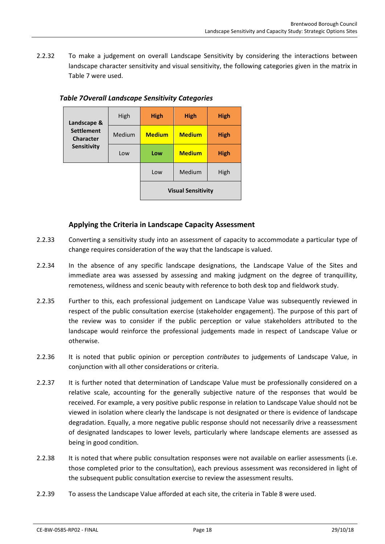2.2.32 To make a judgement on overall Landscape Sensitivity by considering the interactions between landscape character sensitivity and visual sensitivity, the following categories given in the matrix in [Table 7](#page-18-0) were used.

| Landscape &                           | High   | <b>High</b>   | <b>High</b>               | <b>High</b> |
|---------------------------------------|--------|---------------|---------------------------|-------------|
| <b>Settlement</b><br><b>Character</b> | Medium | <b>Medium</b> | <b>Medium</b>             | <b>High</b> |
| Sensitivity                           | Low    | Low           | <b>Medium</b>             | <b>High</b> |
|                                       |        | Low           | Medium                    | High        |
|                                       |        |               | <b>Visual Sensitivity</b> |             |

### <span id="page-18-0"></span>*Table 7Overall Landscape Sensitivity Categories*

# **Applying the Criteria in Landscape Capacity Assessment**

- 2.2.33 Converting a sensitivity study into an assessment of capacity to accommodate a particular type of change requires consideration of the way that the landscape is valued.
- 2.2.34 In the absence of any specific landscape designations, the Landscape Value of the Sites and immediate area was assessed by assessing and making judgment on the degree of tranquillity, remoteness, wildness and scenic beauty with reference to both desk top and fieldwork study.
- 2.2.35 Further to this, each professional judgement on Landscape Value was subsequently reviewed in respect of the public consultation exercise (stakeholder engagement). The purpose of this part of the review was to consider if the public perception or value stakeholders attributed to the landscape would reinforce the professional judgements made in respect of Landscape Value or otherwise.
- 2.2.36 It is noted that public opinion or perception *contributes* to judgements of Landscape Value, in conjunction with all other considerations or criteria.
- 2.2.37 It is further noted that determination of Landscape Value must be professionally considered on a relative scale, accounting for the generally subjective nature of the responses that would be received. For example, a very positive public response in relation to Landscape Value should not be viewed in isolation where clearly the landscape is not designated or there is evidence of landscape degradation. Equally, a more negative public response should not necessarily drive a reassessment of designated landscapes to lower levels, particularly where landscape elements are assessed as being in good condition.
- 2.2.38 It is noted that where public consultation responses were not available on earlier assessments (i.e. those completed prior to the consultation), each previous assessment was reconsidered in light of the subsequent public consultation exercise to review the assessment results.
- 2.2.39 To assess the Landscape Value afforded at each site, the criteria in [Table 8](#page-19-0) were used.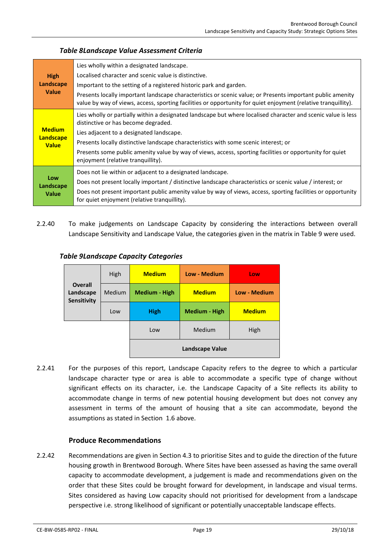### *Table 8Landscape Value Assessment Criteria*

<span id="page-19-0"></span>

| <b>High</b><br>Landscape<br><b>Value</b> | Lies wholly within a designated landscape.                                                                                                                                                                                   |
|------------------------------------------|------------------------------------------------------------------------------------------------------------------------------------------------------------------------------------------------------------------------------|
|                                          | Localised character and scenic value is distinctive.                                                                                                                                                                         |
|                                          | Important to the setting of a registered historic park and garden.                                                                                                                                                           |
|                                          | Presents locally important landscape characteristics or scenic value; or Presents important public amenity<br>value by way of views, access, sporting facilities or opportunity for quiet enjoyment (relative tranquillity). |
|                                          | Lies wholly or partially within a designated landscape but where localised character and scenic value is less<br>distinctive or has become degraded.                                                                         |
| <b>Medium</b>                            | Lies adjacent to a designated landscape.                                                                                                                                                                                     |
| <b>Landscape</b><br><b>Value</b>         | Presents locally distinctive landscape characteristics with some scenic interest; or                                                                                                                                         |
|                                          | Presents some public amenity value by way of views, access, sporting facilities or opportunity for quiet<br>enjoyment (relative tranquillity).                                                                               |
|                                          | Does not lie within or adjacent to a designated landscape.                                                                                                                                                                   |
| Low<br>Landscape<br><b>Value</b>         | Does not present locally important / distinctive landscape characteristics or scenic value / interest; or                                                                                                                    |
|                                          | Does not present important public amenity value by way of views, access, sporting facilities or opportunity<br>for quiet enjoyment (relative tranquillity).                                                                  |

2.2.40 To make judgements on Landscape Capacity by considering the interactions between overall Landscape Sensitivity and Landscape Value, the categories given in the matrix i[n Table 9](#page-19-1) were used.

|                                            | High          | <b>Medium</b>        | <b>Low - Medium</b>    | Low                 |
|--------------------------------------------|---------------|----------------------|------------------------|---------------------|
| <b>Overall</b><br>Landscape<br>Sensitivity | <b>Medium</b> | <b>Medium - High</b> | <b>Medium</b>          | <b>Low - Medium</b> |
|                                            | Low           | <b>High</b>          | <b>Medium - High</b>   | <b>Medium</b>       |
|                                            |               | Low                  | Medium                 | High                |
|                                            |               |                      | <b>Landscape Value</b> |                     |

### <span id="page-19-1"></span>*Table 9Landscape Capacity Categories*

2.2.41 For the purposes of this report, Landscape Capacity refers to the degree to which a particular landscape character type or area is able to accommodate a specific type of change without significant effects on its character, i.e. the Landscape Capacity of a Site reflects its ability to accommodate change in terms of new potential housing development but does not convey any assessment in terms of the amount of housing that a site can accommodate, beyond the assumptions as stated in Section [1.6](#page-9-2) above.

# **Produce Recommendations**

2.2.42 Recommendations are given in Sectio[n 4.3](#page-30-0) to prioritise Sites and to guide the direction of the future housing growth in Brentwood Borough. Where Sites have been assessed as having the same overall capacity to accommodate development, a judgement is made and recommendations given on the order that these Sites could be brought forward for development, in landscape and visual terms. Sites considered as having Low capacity should not prioritised for development from a landscape perspective i.e. strong likelihood of significant or potentially unacceptable landscape effects.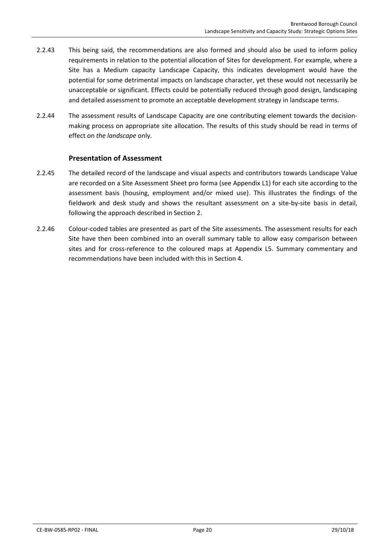- 2.2.43 This being said, the recommendations are also formed and should also be used to inform policy requirements in relation to the potential allocation of Sites for development. For example, where a Site has a Medium capacity Landscape Capacity, this indicates development would have the potential for some detrimental impacts on landscape character, yet these would not necessarily be unacceptable or significant. Effects could be potentially reduced through good design, landscaping and detailed assessment to promote an acceptable development strategy in landscape terms.
- 2.2.44 The assessment results of Landscape Capacity are one contributing element towards the decisionmaking process on appropriate site allocation. The results of this study should be read in terms of effect on *the landscape* only.

# **Presentation of Assessment**

- 2.2.45 The detailed record of the landscape and visual aspects and contributors towards Landscape Value are recorded on a Site Assessment Sheet pro forma (see Appendix L1) for each site according to the assessment basis (housing, employment and/or mixed use). This illustrates the findings of the fieldwork and desk study and shows the resultant assessment on a site-by-site basis in detail, following the approach described in Sectio[n 2.](#page-11-0)
- 2.2.46 Colour-coded tables are presented as part of the Site assessments. The assessment results for each Site have then been combined into an overall summary table to allow easy comparison between sites and for cross-reference to the coloured maps at Appendix L5. Summary commentary and recommendations have been included with this in Sectio[n 4.](#page-29-0)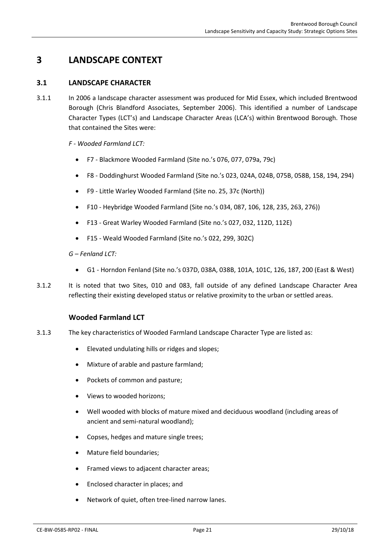# <span id="page-21-1"></span><span id="page-21-0"></span>**3 LANDSCAPE CONTEXT**

### **3.1 LANDSCAPE CHARACTER**

3.1.1 In 2006 a landscape character assessment was produced for Mid Essex, which included Brentwood Borough (Chris Blandford Associates, September 2006). This identified a number of Landscape Character Types (LCT's) and Landscape Character Areas (LCA's) within Brentwood Borough. Those that contained the Sites were:

*F - Wooded Farmland LCT:*

- F7 Blackmore Wooded Farmland (Site no.'s 076, 077, 079a, 79c)
- F8 Doddinghurst Wooded Farmland (Site no.'s 023, 024A, 024B, 075B, 058B, 158, 194, 294)
- F9 Little Warley Wooded Farmland (Site no. 25, 37c (North))
- F10 Heybridge Wooded Farmland (Site no.'s 034, 087, 106, 128, 235, 263, 276))
- F13 Great Warley Wooded Farmland (Site no.'s 027, 032, 112D, 112E)
- F15 Weald Wooded Farmland (Site no.'s 022, 299, 302C)

*G – Fenland LCT:*

- G1 Horndon Fenland (Site no.'s 037D, 038A, 038B, 101A, 101C, 126, 187, 200 (East & West)
- 3.1.2 It is noted that two Sites, 010 and 083, fall outside of any defined Landscape Character Area reflecting their existing developed status or relative proximity to the urban or settled areas.

### **Wooded Farmland LCT**

- 3.1.3 The key characteristics of Wooded Farmland Landscape Character Type are listed as:
	- Elevated undulating hills or ridges and slopes;
	- Mixture of arable and pasture farmland;
	- Pockets of common and pasture;
	- Views to wooded horizons;
	- Well wooded with blocks of mature mixed and deciduous woodland (including areas of ancient and semi-natural woodland);
	- Copses, hedges and mature single trees;
	- Mature field boundaries;
	- Framed views to adjacent character areas;
	- Enclosed character in places; and
	- Network of quiet, often tree-lined narrow lanes.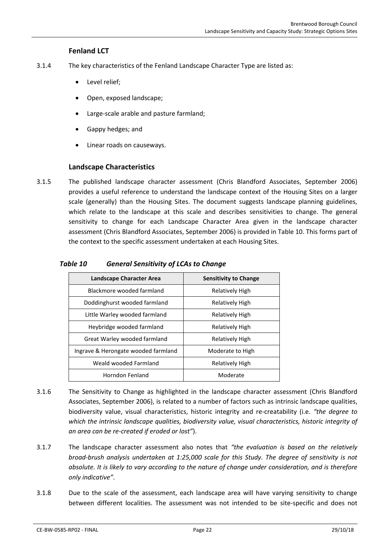### **Fenland LCT**

- 3.1.4 The key characteristics of the Fenland Landscape Character Type are listed as:
	- Level relief;
	- Open, exposed landscape;
	- Large-scale arable and pasture farmland;
	- Gappy hedges; and
	- Linear roads on causeways.

### **Landscape Characteristics**

3.1.5 The published landscape character assessment (Chris Blandford Associates, September 2006) provides a useful reference to understand the landscape context of the Housing Sites on a larger scale (generally) than the Housing Sites. The document suggests landscape planning guidelines, which relate to the landscape at this scale and describes sensitivities to change. The general sensitivity to change for each Landscape Character Area given in the landscape character assessment (Chris Blandford Associates, September 2006) is provided in [Table 10.](#page-22-0) This forms part of the context to the specific assessment undertaken at each Housing Sites.

| Landscape Character Area            | <b>Sensitivity to Change</b> |
|-------------------------------------|------------------------------|
| Blackmore wooded farmland           | <b>Relatively High</b>       |
| Doddinghurst wooded farmland        | Relatively High              |
| Little Warley wooded farmland       | <b>Relatively High</b>       |
| Heybridge wooded farmland           | Relatively High              |
| Great Warley wooded farmland        | <b>Relatively High</b>       |
| Ingrave & Herongate wooded farmland | Moderate to High             |
| Weald wooded Farmland               | Relatively High              |
| Horndon Fenland                     | Moderate                     |

### <span id="page-22-0"></span>*Table 10 General Sensitivity of LCAs to Change*

- 3.1.6 The Sensitivity to Change as highlighted in the landscape character assessment (Chris Blandford Associates, September 2006), is related to a number of factors such as intrinsic landscape qualities, biodiversity value, visual characteristics, historic integrity and re-creatability (i.e. *"the degree to which the intrinsic landscape qualities, biodiversity value, visual characteristics, historic integrity of an area can be re-created if eroded or lost"*).
- 3.1.7 The landscape character assessment also notes that *"the evaluation is based on the relatively broad-brush analysis undertaken at 1:25,000 scale for this Study. The degree of sensitivity is not absolute. It is likely to vary according to the nature of change under consideration, and is therefore only indicative"*.
- 3.1.8 Due to the scale of the assessment, each landscape area will have varying sensitivity to change between different localities. The assessment was not intended to be site-specific and does not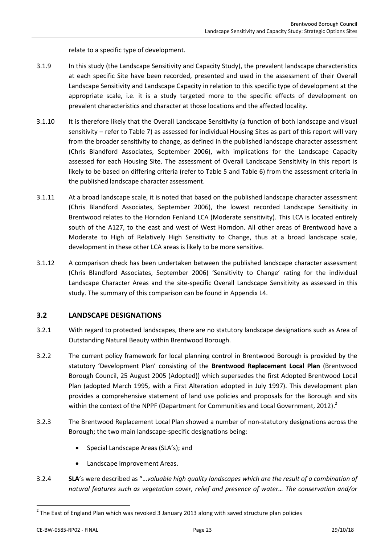relate to a specific type of development.

- 3.1.9 In this study (the Landscape Sensitivity and Capacity Study), the prevalent landscape characteristics at each specific Site have been recorded, presented and used in the assessment of their Overall Landscape Sensitivity and Landscape Capacity in relation to this specific type of development at the appropriate scale, i.e. it is a study targeted more to the specific effects of development on prevalent characteristics and character at those locations and the affected locality.
- 3.1.10 It is therefore likely that the Overall Landscape Sensitivity (a function of both landscape and visual sensitivity – refer to [Table 7\)](#page-18-0) as assessed for individual Housing Sites as part of this report will vary from the broader sensitivity to change, as defined in the published landscape character assessment (Chris Blandford Associates, September 2006), with implications for the Landscape Capacity assessed for each Housing Site. The assessment of Overall Landscape Sensitivity in this report is likely to be based on differing criteria (refer to [Table 5](#page-17-0) and [Table 6\)](#page-17-1) from the assessment criteria in the published landscape character assessment.
- 3.1.11 At a broad landscape scale, it is noted that based on the published landscape character assessment (Chris Blandford Associates, September 2006), the lowest recorded Landscape Sensitivity in Brentwood relates to the Horndon Fenland LCA (Moderate sensitivity). This LCA is located entirely south of the A127, to the east and west of West Horndon. All other areas of Brentwood have a Moderate to High of Relatively High Sensitivity to Change, thus at a broad landscape scale, development in these other LCA areas is likely to be more sensitive.
- 3.1.12 A comparison check has been undertaken between the published landscape character assessment (Chris Blandford Associates, September 2006) 'Sensitivity to Change' rating for the individual Landscape Character Areas and the site-specific Overall Landscape Sensitivity as assessed in this study. The summary of this comparison can be found in Appendix L4.

### <span id="page-23-0"></span>**3.2 LANDSCAPE DESIGNATIONS**

- 3.2.1 With regard to protected landscapes, there are no statutory landscape designations such as Area of Outstanding Natural Beauty within Brentwood Borough.
- 3.2.2 The current policy framework for local planning control in Brentwood Borough is provided by the statutory 'Development Plan' consisting of the **Brentwood Replacement Local Plan** (Brentwood Borough Council, 25 August 2005 (Adopted)) which supersedes the first Adopted Brentwood Local Plan (adopted March 1995, with a First Alteration adopted in July 1997). This development plan provides a comprehensive statement of land use policies and proposals for the Borough and sits within the context of the NPPF (Department for Communities and Local Government, 2012).<sup>2</sup>
- 3.2.3 The Brentwood Replacement Local Plan showed a number of non-statutory designations across the Borough; the two main landscape-specific designations being:
	- Special Landscape Areas (SLA's); and
	- Landscape Improvement Areas.
- 3.2.4 **SLA**'s were described as "…*valuable high quality landscapes which are the result of a combination of natural features such as vegetation cover, relief and presence of water… The conservation and/or*

1

 $^{2}$  The East of England Plan which was revoked 3 January 2013 along with saved structure plan policies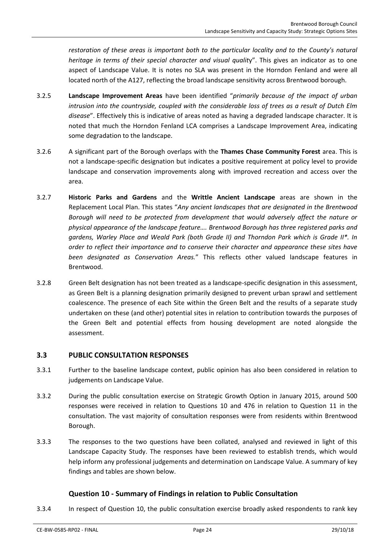*restoration of these areas is important both to the particular locality and to the County's natural heritage in terms of their special character and visual qualit*y". This gives an indicator as to one aspect of Landscape Value. It is notes no SLA was present in the Horndon Fenland and were all located north of the A127, reflecting the broad landscape sensitivity across Brentwood borough.

- 3.2.5 **Landscape Improvement Areas** have been identified "*primarily because of the impact of urban intrusion into the countryside, coupled with the considerable loss of trees as a result of Dutch Elm disease*". Effectively this is indicative of areas noted as having a degraded landscape character. It is noted that much the Horndon Fenland LCA comprises a Landscape Improvement Area, indicating some degradation to the landscape.
- 3.2.6 A significant part of the Borough overlaps with the **Thames Chase Community Forest** area. This is not a landscape-specific designation but indicates a positive requirement at policy level to provide landscape and conservation improvements along with improved recreation and access over the area.
- 3.2.7 **Historic Parks and Gardens** and the **Writtle Ancient Landscape** areas are shown in the Replacement Local Plan. This states "*Any ancient landscapes that are designated in the Brentwood Borough will need to be protected from development that would adversely affect the nature or physical appearance of the landscape feature…. Brentwood Borough has three registered parks and gardens, Warley Place and Weald Park (both Grade II) and Thorndon Park which is Grade II\*. In order to reflect their importance and to conserve their character and appearance these sites have been designated as Conservation Areas.*" This reflects other valued landscape features in Brentwood.
- 3.2.8 Green Belt designation has not been treated as a landscape-specific designation in this assessment, as Green Belt is a planning designation primarily designed to prevent urban sprawl and settlement coalescence. The presence of each Site within the Green Belt and the results of a separate study undertaken on these (and other) potential sites in relation to contribution towards the purposes of the Green Belt and potential effects from housing development are noted alongside the assessment.

# <span id="page-24-0"></span>**3.3 PUBLIC CONSULTATION RESPONSES**

- 3.3.1 Further to the baseline landscape context, public opinion has also been considered in relation to judgements on Landscape Value.
- 3.3.2 During the public consultation exercise on Strategic Growth Option in January 2015, around 500 responses were received in relation to Questions 10 and 476 in relation to Question 11 in the consultation. The vast majority of consultation responses were from residents within Brentwood Borough.
- 3.3.3 The responses to the two questions have been collated, analysed and reviewed in light of this Landscape Capacity Study. The responses have been reviewed to establish trends, which would help inform any professional judgements and determination on Landscape Value. A summary of key findings and tables are shown below.

# **Question 10 - Summary of Findings in relation to Public Consultation**

3.3.4 In respect of Question 10, the public consultation exercise broadly asked respondents to rank key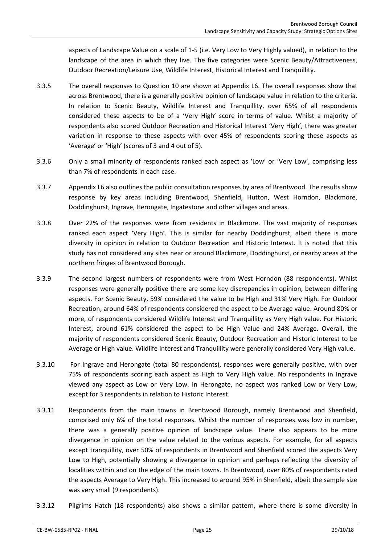aspects of Landscape Value on a scale of 1-5 (i.e. Very Low to Very Highly valued), in relation to the landscape of the area in which they live. The five categories were Scenic Beauty/Attractiveness, Outdoor Recreation/Leisure Use, Wildlife Interest, Historical Interest and Tranquillity.

- 3.3.5 The overall responses to Question 10 are shown at Appendix L6. The overall responses show that across Brentwood, there is a generally positive opinion of landscape value in relation to the criteria. In relation to Scenic Beauty, Wildlife Interest and Tranquillity, over 65% of all respondents considered these aspects to be of a 'Very High' score in terms of value. Whilst a majority of respondents also scored Outdoor Recreation and Historical Interest 'Very High', there was greater variation in response to these aspects with over 45% of respondents scoring these aspects as 'Average' or 'High' (scores of 3 and 4 out of 5).
- 3.3.6 Only a small minority of respondents ranked each aspect as 'Low' or 'Very Low', comprising less than 7% of respondents in each case.
- 3.3.7 Appendix L6 also outlines the public consultation responses by area of Brentwood. The results show response by key areas including Brentwood, Shenfield, Hutton, West Horndon, Blackmore, Doddinghurst, Ingrave, Herongate, Ingatestone and other villages and areas.
- 3.3.8 Over 22% of the responses were from residents in Blackmore. The vast majority of responses ranked each aspect 'Very High'. This is similar for nearby Doddinghurst, albeit there is more diversity in opinion in relation to Outdoor Recreation and Historic Interest. It is noted that this study has not considered any sites near or around Blackmore, Doddinghurst, or nearby areas at the northern fringes of Brentwood Borough.
- 3.3.9 The second largest numbers of respondents were from West Horndon (88 respondents). Whilst responses were generally positive there are some key discrepancies in opinion, between differing aspects. For Scenic Beauty, 59% considered the value to be High and 31% Very High. For Outdoor Recreation, around 64% of respondents considered the aspect to be Average value. Around 80% or more, of respondents considered Wildlife Interest and Tranquillity as Very High value. For Historic Interest, around 61% considered the aspect to be High Value and 24% Average. Overall, the majority of respondents considered Scenic Beauty, Outdoor Recreation and Historic Interest to be Average or High value. Wildlife Interest and Tranquillity were generally considered Very High value.
- 3.3.10 For Ingrave and Herongate (total 80 respondents), responses were generally positive, with over 75% of respondents scoring each aspect as High to Very High value. No respondents in Ingrave viewed any aspect as Low or Very Low. In Herongate, no aspect was ranked Low or Very Low, except for 3 respondents in relation to Historic Interest.
- 3.3.11 Respondents from the main towns in Brentwood Borough, namely Brentwood and Shenfield, comprised only 6% of the total responses. Whilst the number of responses was low in number, there was a generally positive opinion of landscape value. There also appears to be more divergence in opinion on the value related to the various aspects. For example, for all aspects except tranquillity, over 50% of respondents in Brentwood and Shenfield scored the aspects Very Low to High, potentially showing a divergence in opinion and perhaps reflecting the diversity of localities within and on the edge of the main towns. In Brentwood, over 80% of respondents rated the aspects Average to Very High. This increased to around 95% in Shenfield, albeit the sample size was very small (9 respondents).
- 3.3.12 Pilgrims Hatch (18 respondents) also shows a similar pattern, where there is some diversity in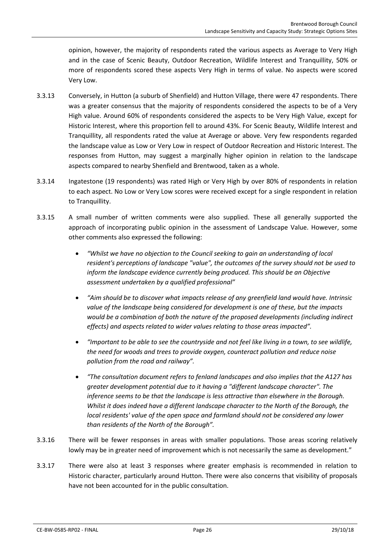opinion, however, the majority of respondents rated the various aspects as Average to Very High and in the case of Scenic Beauty, Outdoor Recreation, Wildlife Interest and Tranquillity, 50% or more of respondents scored these aspects Very High in terms of value. No aspects were scored Very Low.

- 3.3.13 Conversely, in Hutton (a suburb of Shenfield) and Hutton Village, there were 47 respondents. There was a greater consensus that the majority of respondents considered the aspects to be of a Very High value. Around 60% of respondents considered the aspects to be Very High Value, except for Historic Interest, where this proportion fell to around 43%. For Scenic Beauty, Wildlife Interest and Tranquillity, all respondents rated the value at Average or above. Very few respondents regarded the landscape value as Low or Very Low in respect of Outdoor Recreation and Historic Interest. The responses from Hutton, may suggest a marginally higher opinion in relation to the landscape aspects compared to nearby Shenfield and Brentwood, taken as a whole.
- 3.3.14 Ingatestone (19 respondents) was rated High or Very High by over 80% of respondents in relation to each aspect. No Low or Very Low scores were received except for a single respondent in relation to Tranquillity.
- 3.3.15 A small number of written comments were also supplied. These all generally supported the approach of incorporating public opinion in the assessment of Landscape Value. However, some other comments also expressed the following:
	- *"Whilst we have no objection to the Council seeking to gain an understanding of local resident's perceptions of landscape "value", the outcomes of the survey should not be used to inform the landscape evidence currently being produced. This should be an Objective assessment undertaken by a qualified professional"*
	- *"Aim should be to discover what impacts release of any greenfield land would have. Intrinsic value of the landscape being considered for development is one of these, but the impacts would be a combination of both the nature of the proposed developments (including indirect effects) and aspects related to wider values relating to those areas impacted".*
	- *"Important to be able to see the countryside and not feel like living in a town, to see wildlife, the need for woods and trees to provide oxygen, counteract pollution and reduce noise pollution from the road and railway".*
	- *"The consultation document refers to fenland landscapes and also implies that the A127 has greater development potential due to it having a "different landscape character". The inference seems to be that the landscape is less attractive than elsewhere in the Borough. Whilst it does indeed have a different landscape character to the North of the Borough, the local residents' value of the open space and farmland should not be considered any lower than residents of the North of the Borough".*
- 3.3.16 There will be fewer responses in areas with smaller populations. Those areas scoring relatively lowly may be in greater need of improvement which is not necessarily the same as development."
- 3.3.17 There were also at least 3 responses where greater emphasis is recommended in relation to Historic character, particularly around Hutton. There were also concerns that visibility of proposals have not been accounted for in the public consultation.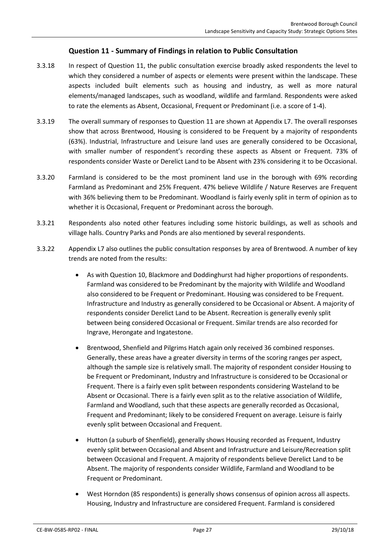# **Question 11 - Summary of Findings in relation to Public Consultation**

- 3.3.18 In respect of Question 11, the public consultation exercise broadly asked respondents the level to which they considered a number of aspects or elements were present within the landscape. These aspects included built elements such as housing and industry, as well as more natural elements/managed landscapes, such as woodland, wildlife and farmland. Respondents were asked to rate the elements as Absent, Occasional, Frequent or Predominant (i.e. a score of 1-4).
- 3.3.19 The overall summary of responses to Question 11 are shown at Appendix L7. The overall responses show that across Brentwood, Housing is considered to be Frequent by a majority of respondents (63%). Industrial, Infrastructure and Leisure land uses are generally considered to be Occasional, with smaller number of respondent's recording these aspects as Absent or Frequent. 73% of respondents consider Waste or Derelict Land to be Absent with 23% considering it to be Occasional.
- 3.3.20 Farmland is considered to be the most prominent land use in the borough with 69% recording Farmland as Predominant and 25% Frequent. 47% believe Wildlife / Nature Reserves are Frequent with 36% believing them to be Predominant. Woodland is fairly evenly split in term of opinion as to whether it is Occasional, Frequent or Predominant across the borough.
- 3.3.21 Respondents also noted other features including some historic buildings, as well as schools and village halls. Country Parks and Ponds are also mentioned by several respondents.
- 3.3.22 Appendix L7 also outlines the public consultation responses by area of Brentwood. A number of key trends are noted from the results:
	- As with Question 10, Blackmore and Doddinghurst had higher proportions of respondents. Farmland was considered to be Predominant by the majority with Wildlife and Woodland also considered to be Frequent or Predominant. Housing was considered to be Frequent. Infrastructure and Industry as generally considered to be Occasional or Absent. A majority of respondents consider Derelict Land to be Absent. Recreation is generally evenly split between being considered Occasional or Frequent. Similar trends are also recorded for Ingrave, Herongate and Ingatestone.
	- Brentwood, Shenfield and Pilgrims Hatch again only received 36 combined responses. Generally, these areas have a greater diversity in terms of the scoring ranges per aspect, although the sample size is relatively small. The majority of respondent consider Housing to be Frequent or Predominant, Industry and Infrastructure is considered to be Occasional or Frequent. There is a fairly even split between respondents considering Wasteland to be Absent or Occasional. There is a fairly even split as to the relative association of Wildlife, Farmland and Woodland, such that these aspects are generally recorded as Occasional, Frequent and Predominant; likely to be considered Frequent on average. Leisure is fairly evenly split between Occasional and Frequent.
	- Hutton (a suburb of Shenfield), generally shows Housing recorded as Frequent, Industry evenly split between Occasional and Absent and Infrastructure and Leisure/Recreation split between Occasional and Frequent. A majority of respondents believe Derelict Land to be Absent. The majority of respondents consider Wildlife, Farmland and Woodland to be Frequent or Predominant.
	- West Horndon (85 respondents) is generally shows consensus of opinion across all aspects. Housing, Industry and Infrastructure are considered Frequent. Farmland is considered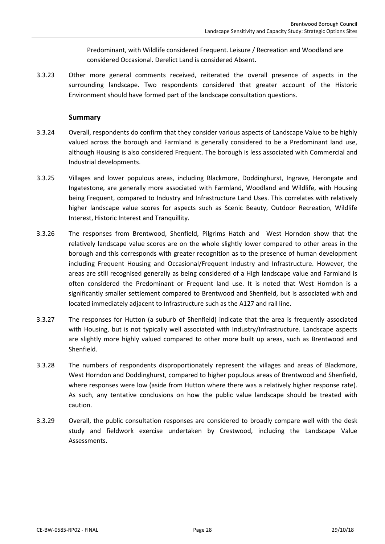Predominant, with Wildlife considered Frequent. Leisure / Recreation and Woodland are considered Occasional. Derelict Land is considered Absent.

3.3.23 Other more general comments received, reiterated the overall presence of aspects in the surrounding landscape. Two respondents considered that greater account of the Historic Environment should have formed part of the landscape consultation questions.

### **Summary**

- 3.3.24 Overall, respondents do confirm that they consider various aspects of Landscape Value to be highly valued across the borough and Farmland is generally considered to be a Predominant land use, although Housing is also considered Frequent. The borough is less associated with Commercial and Industrial developments.
- 3.3.25 Villages and lower populous areas, including Blackmore, Doddinghurst, Ingrave, Herongate and Ingatestone, are generally more associated with Farmland, Woodland and Wildlife, with Housing being Frequent, compared to Industry and Infrastructure Land Uses. This correlates with relatively higher landscape value scores for aspects such as Scenic Beauty, Outdoor Recreation, Wildlife Interest, Historic Interest and Tranquillity.
- 3.3.26 The responses from Brentwood, Shenfield, Pilgrims Hatch and West Horndon show that the relatively landscape value scores are on the whole slightly lower compared to other areas in the borough and this corresponds with greater recognition as to the presence of human development including Frequent Housing and Occasional/Frequent Industry and Infrastructure. However, the areas are still recognised generally as being considered of a High landscape value and Farmland is often considered the Predominant or Frequent land use. It is noted that West Horndon is a significantly smaller settlement compared to Brentwood and Shenfield, but is associated with and located immediately adjacent to Infrastructure such as the A127 and rail line.
- 3.3.27 The responses for Hutton (a suburb of Shenfield) indicate that the area is frequently associated with Housing, but is not typically well associated with Industry/Infrastructure. Landscape aspects are slightly more highly valued compared to other more built up areas, such as Brentwood and Shenfield.
- 3.3.28 The numbers of respondents disproportionately represent the villages and areas of Blackmore, West Horndon and Doddinghurst, compared to higher populous areas of Brentwood and Shenfield, where responses were low (aside from Hutton where there was a relatively higher response rate). As such, any tentative conclusions on how the public value landscape should be treated with caution.
- 3.3.29 Overall, the public consultation responses are considered to broadly compare well with the desk study and fieldwork exercise undertaken by Crestwood, including the Landscape Value Assessments.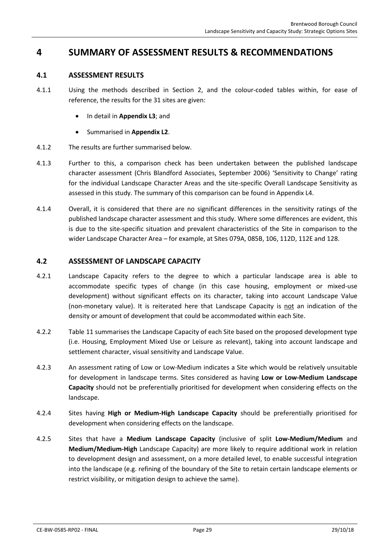# <span id="page-29-1"></span><span id="page-29-0"></span>**4 SUMMARY OF ASSESSMENT RESULTS & RECOMMENDATIONS**

### **4.1 ASSESSMENT RESULTS**

- 4.1.1 Using the methods described in Section [2,](#page-11-0) and the colour-coded tables within, for ease of reference, the results for the 31 sites are given:
	- In detail in **Appendix L3**; and
	- Summarised in **Appendix L2**.
- 4.1.2 The results are further summarised below.
- 4.1.3 Further to this, a comparison check has been undertaken between the published landscape character assessment (Chris Blandford Associates, September 2006) 'Sensitivity to Change' rating for the individual Landscape Character Areas and the site-specific Overall Landscape Sensitivity as assessed in this study. The summary of this comparison can be found in Appendix L4.
- 4.1.4 Overall, it is considered that there are no significant differences in the sensitivity ratings of the published landscape character assessment and this study. Where some differences are evident, this is due to the site-specific situation and prevalent characteristics of the Site in comparison to the wider Landscape Character Area – for example, at Sites 079A, 085B, 106, 112D, 112E and 128.

### <span id="page-29-2"></span>**4.2 ASSESSMENT OF LANDSCAPE CAPACITY**

- 4.2.1 Landscape Capacity refers to the degree to which a particular landscape area is able to accommodate specific types of change (in this case housing, employment or mixed-use development) without significant effects on its character, taking into account Landscape Value (non-monetary value). It is reiterated here that Landscape Capacity is not an indication of the density or amount of development that could be accommodated within each Site.
- 4.2.2 [Table 11](#page-30-1) summarises the Landscape Capacity of each Site based on the proposed development type (i.e. Housing, Employment Mixed Use or Leisure as relevant), taking into account landscape and settlement character, visual sensitivity and Landscape Value.
- 4.2.3 An assessment rating of Low or Low-Medium indicates a Site which would be relatively unsuitable for development in landscape terms. Sites considered as having **Low or Low-Medium Landscape Capacity** should not be preferentially prioritised for development when considering effects on the landscape.
- 4.2.4 Sites having **High or Medium-High Landscape Capacity** should be preferentially prioritised for development when considering effects on the landscape.
- 4.2.5 Sites that have a **Medium Landscape Capacity** (inclusive of split **Low-Medium/Medium** and **Medium/Medium-High** Landscape Capacity) are more likely to require additional work in relation to development design and assessment, on a more detailed level, to enable successful integration into the landscape (e.g. refining of the boundary of the Site to retain certain landscape elements or restrict visibility, or mitigation design to achieve the same).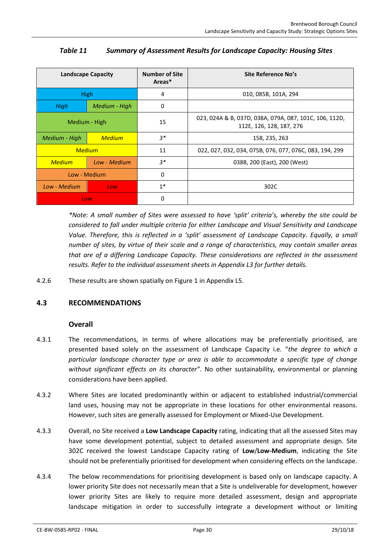<span id="page-30-1"></span>

| <b>Landscape Capacity</b> |               | <b>Number of Site</b><br>Areas* | Site Reference No's                                                                |
|---------------------------|---------------|---------------------------------|------------------------------------------------------------------------------------|
|                           | <b>High</b>   | 4                               | 010, 085B, 101A, 294                                                               |
| High                      | Medium - High | $\Omega$                        |                                                                                    |
| Medium - High             |               | 15                              | 023, 024A & B, 037D, 038A, 079A, 087, 101C, 106, 112D,<br>112E, 126, 128, 187, 276 |
| Medium - High             | <b>Medium</b> | $3*$<br>158, 235, 263           |                                                                                    |
| <b>Medium</b>             |               | 11                              | 022, 027, 032, 034, 075B, 076, 077, 076C, 083, 194, 299                            |
| <b>Medium</b>             | Low - Medium  | $3^*$                           | 038B, 200 (East), 200 (West)                                                       |
| Low - Medium              |               | $\mathbf{0}$                    |                                                                                    |
| Low - Medium              | Low           | $1*$                            | 302C                                                                               |
| Low                       |               | $\mathbf{0}$                    |                                                                                    |

# *Table 11 Summary of Assessment Results for Landscape Capacity: Housing Sites*

*\*Note: A small number of Sites were assessed to have 'split' criteria's, whereby the site could be considered to fall under multiple criteria for either Landscape and Visual Sensitivity and Landscape Value. Therefore, this is reflected in a 'split' assessment of Landscape Capacity. Equally, a small number of sites, by virtue of their scale and a range of characteristics, may contain smaller areas that are of a differing Landscape Capacity. These considerations are reflected in the assessment results. Refer to the individual assessment sheets in Appendix L3 for further details.* 

4.2.6 These results are shown spatially on Figure 1 in Appendix L5.

# <span id="page-30-0"></span>**4.3 RECOMMENDATIONS**

### **Overall**

- 4.3.1 The recommendations, in terms of where allocations may be preferentially prioritised, are presented based solely on the assessment of Landscape Capacity i.e. "*the degree to which a particular landscape character type or area is able to accommodate a specific type of change without significant effects on its character"*. No other sustainability, environmental or planning considerations have been applied.
- 4.3.2 Where Sites are located predominantly within or adjacent to established industrial/commercial land uses, housing may not be appropriate in these locations for other environmental reasons. However, such sites are generally assessed for Employment or Mixed-Use Development.
- 4.3.3 Overall, no Site received a **Low Landscape Capacity** rating, indicating that all the assessed Sites may have some development potential, subject to detailed assessment and appropriate design. Site 302C received the lowest Landscape Capacity rating of **Low**/**Low-Medium**, indicating the Site should not be preferentially prioritised for development when considering effects on the landscape.
- 4.3.4 The below recommendations for prioritising development is based only on landscape capacity. A lower priority Site does not necessarily mean that a Site is undeliverable for development, however lower priority Sites are likely to require more detailed assessment, design and appropriate landscape mitigation in order to successfully integrate a development without or limiting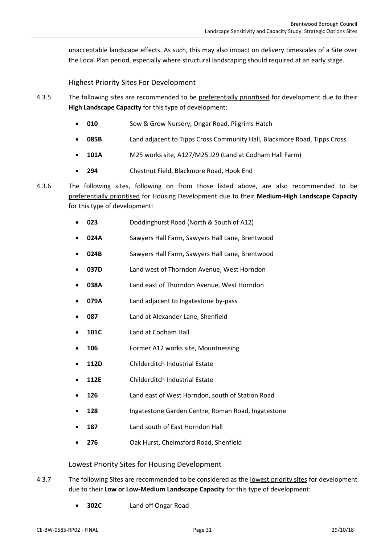unacceptable landscape effects. As such, this may also impact on delivery timescales of a Site over the Local Plan period, especially where structural landscaping should required at an early stage.

Highest Priority Sites For Development

- 4.3.5 The following sites are recommended to be preferentially prioritised for development due to their **High Landscape Capacity** for this type of development:
	- **010** Sow & Grow Nursery, Ongar Road, Pilgrims Hatch
	- **085B** Land adjacent to Tipps Cross Community Hall, Blackmore Road, Tipps Cross
	- **101A** M25 works site, A127/M25 J29 (Land at Codham Hall Farm)
	- **294** Chestnut Field, Blackmore Road, Hook End
- 4.3.6 The following sites, following on from those listed above, are also recommended to be preferentially prioritised for Housing Development due to their **Medium-High Landscape Capacity** for this type of development:
	- **023** Doddinghurst Road (North & South of A12)
	- **024A** Sawyers Hall Farm, Sawyers Hall Lane, Brentwood
	- **024B** Sawyers Hall Farm, Sawyers Hall Lane, Brentwood
	- **037D** Land west of Thorndon Avenue, West Horndon
	- **038A** Land east of Thorndon Avenue, West Horndon
	- **079A** Land adjacent to Ingatestone by-pass
	- **087** Land at Alexander Lane, Shenfield
	- **101C** Land at Codham Hall
	- **106** Former A12 works site, Mountnessing
	- **112D** Childerditch Industrial Estate
	- **112E** Childerditch Industrial Estate
	- **126** Land east of West Horndon, south of Station Road
	- **128** Ingatestone Garden Centre, Roman Road, Ingatestone
	- **187** Land south of East Horndon Hall
	- **276** Oak Hurst, Chelmsford Road, Shenfield

### Lowest Priority Sites for Housing Development

- 4.3.7 The following Sites are recommended to be considered as the lowest priority sites for development due to their **Low or Low-Medium Landscape Capacity** for this type of development:
	- **302C** Land off Ongar Road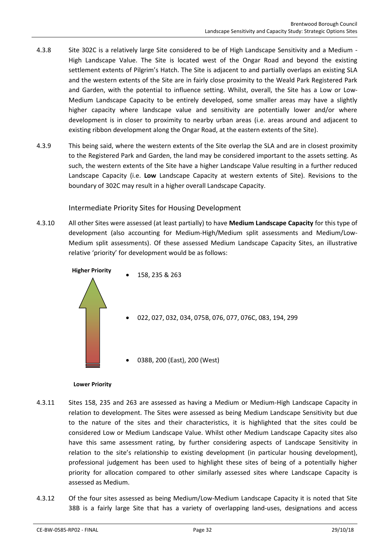- 4.3.8 Site 302C is a relatively large Site considered to be of High Landscape Sensitivity and a Medium -High Landscape Value. The Site is located west of the Ongar Road and beyond the existing settlement extents of Pilgrim's Hatch. The Site is adjacent to and partially overlaps an existing SLA and the western extents of the Site are in fairly close proximity to the Weald Park Registered Park and Garden, with the potential to influence setting. Whilst, overall, the Site has a Low or Low-Medium Landscape Capacity to be entirely developed, some smaller areas may have a slightly higher capacity where landscape value and sensitivity are potentially lower and/or where development is in closer to proximity to nearby urban areas (i.e. areas around and adjacent to existing ribbon development along the Ongar Road, at the eastern extents of the Site).
- 4.3.9 This being said, where the western extents of the Site overlap the SLA and are in closest proximity to the Registered Park and Garden, the land may be considered important to the assets setting. As such, the western extents of the Site have a higher Landscape Value resulting in a further reduced Landscape Capacity (i.e. **Low** Landscape Capacity at western extents of Site). Revisions to the boundary of 302C may result in a higher overall Landscape Capacity.

Intermediate Priority Sites for Housing Development

4.3.10 All other Sites were assessed (at least partially) to have **Medium Landscape Capacity** for this type of development (also accounting for Medium-High/Medium split assessments and Medium/Low-Medium split assessments). Of these assessed Medium Landscape Capacity Sites, an illustrative relative 'priority' for development would be as follows:



#### **Lower Priority**

- 4.3.11 Sites 158, 235 and 263 are assessed as having a Medium or Medium-High Landscape Capacity in relation to development. The Sites were assessed as being Medium Landscape Sensitivity but due to the nature of the sites and their characteristics, it is highlighted that the sites could be considered Low or Medium Landscape Value. Whilst other Medium Landscape Capacity sites also have this same assessment rating, by further considering aspects of Landscape Sensitivity in relation to the site's relationship to existing development (in particular housing development), professional judgement has been used to highlight these sites of being of a potentially higher priority for allocation compared to other similarly assessed sites where Landscape Capacity is assessed as Medium.
- 4.3.12 Of the four sites assessed as being Medium/Low-Medium Landscape Capacity it is noted that Site 38B is a fairly large Site that has a variety of overlapping land-uses, designations and access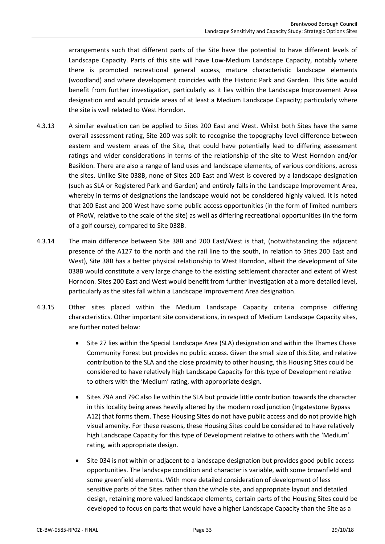arrangements such that different parts of the Site have the potential to have different levels of Landscape Capacity. Parts of this site will have Low-Medium Landscape Capacity, notably where there is promoted recreational general access, mature characteristic landscape elements (woodland) and where development coincides with the Historic Park and Garden. This Site would benefit from further investigation, particularly as it lies within the Landscape Improvement Area designation and would provide areas of at least a Medium Landscape Capacity; particularly where the site is well related to West Horndon.

- 4.3.13 A similar evaluation can be applied to Sites 200 East and West. Whilst both Sites have the same overall assessment rating, Site 200 was split to recognise the topography level difference between eastern and western areas of the Site, that could have potentially lead to differing assessment ratings and wider considerations in terms of the relationship of the site to West Horndon and/or Basildon. There are also a range of land uses and landscape elements, of various conditions, across the sites. Unlike Site 038B, none of Sites 200 East and West is covered by a landscape designation (such as SLA or Registered Park and Garden) and entirely falls in the Landscape Improvement Area, whereby in terms of designations the landscape would not be considered highly valued. It is noted that 200 East and 200 West have some public access opportunities (in the form of limited numbers of PRoW, relative to the scale of the site) as well as differing recreational opportunities (in the form of a golf course), compared to Site 038B.
- 4.3.14 The main difference between Site 38B and 200 East/West is that, (notwithstanding the adjacent presence of the A127 to the north and the rail line to the south, in relation to Sites 200 East and West), Site 38B has a better physical relationship to West Horndon, albeit the development of Site 038B would constitute a very large change to the existing settlement character and extent of West Horndon. Sites 200 East and West would benefit from further investigation at a more detailed level, particularly as the sites fall within a Landscape Improvement Area designation.
- 4.3.15 Other sites placed within the Medium Landscape Capacity criteria comprise differing characteristics. Other important site considerations, in respect of Medium Landscape Capacity sites, are further noted below:
	- Site 27 lies within the Special Landscape Area (SLA) designation and within the Thames Chase Community Forest but provides no public access. Given the small size of this Site, and relative contribution to the SLA and the close proximity to other housing, this Housing Sites could be considered to have relatively high Landscape Capacity for this type of Development relative to others with the 'Medium' rating, with appropriate design.
	- Sites 79A and 79C also lie within the SLA but provide little contribution towards the character in this locality being areas heavily altered by the modern road junction (Ingatestone Bypass A12) that forms them. These Housing Sites do not have public access and do not provide high visual amenity. For these reasons, these Housing Sites could be considered to have relatively high Landscape Capacity for this type of Development relative to others with the 'Medium' rating, with appropriate design.
	- Site 034 is not within or adjacent to a landscape designation but provides good public access opportunities. The landscape condition and character is variable, with some brownfield and some greenfield elements. With more detailed consideration of development of less sensitive parts of the Sites rather than the whole site, and appropriate layout and detailed design, retaining more valued landscape elements, certain parts of the Housing Sites could be developed to focus on parts that would have a higher Landscape Capacity than the Site as a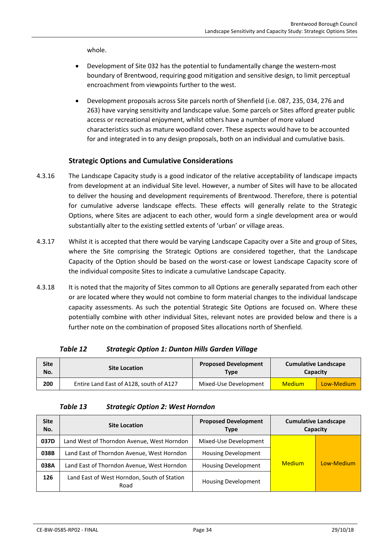whole.

- Development of Site 032 has the potential to fundamentally change the western-most boundary of Brentwood, requiring good mitigation and sensitive design, to limit perceptual encroachment from viewpoints further to the west.
- Development proposals across Site parcels north of Shenfield (i.e. 087, 235, 034, 276 and 263) have varying sensitivity and landscape value. Some parcels or Sites afford greater public access or recreational enjoyment, whilst others have a number of more valued characteristics such as mature woodland cover. These aspects would have to be accounted for and integrated in to any design proposals, both on an individual and cumulative basis.

### **Strategic Options and Cumulative Considerations**

- 4.3.16 The Landscape Capacity study is a good indicator of the relative acceptability of landscape impacts from development at an individual Site level. However, a number of Sites will have to be allocated to deliver the housing and development requirements of Brentwood. Therefore, there is potential for cumulative adverse landscape effects. These effects will generally relate to the Strategic Options, where Sites are adjacent to each other, would form a single development area or would substantially alter to the existing settled extents of 'urban' or village areas.
- 4.3.17 Whilst it is accepted that there would be varying Landscape Capacity over a Site and group of Sites, where the Site comprising the Strategic Options are considered together, that the Landscape Capacity of the Option should be based on the worst-case or lowest Landscape Capacity score of the individual composite Sites to indicate a cumulative Landscape Capacity.
- 4.3.18 It is noted that the majority of Sites common to all Options are generally separated from each other or are located where they would not combine to form material changes to the individual landscape capacity assessments. As such the potential Strategic Site Options are focused on. Where these potentially combine with other individual Sites, relevant notes are provided below and there is a further note on the combination of proposed Sites allocations north of Shenfield.

### *Table 12 Strategic Option 1: Dunton Hills Garden Village*

<span id="page-34-0"></span>

| Site<br>No. | <b>Site Location</b>                    | <b>Proposed Development</b><br><b>Type</b> | <b>Cumulative Landscape</b><br>Capacity |            |
|-------------|-----------------------------------------|--------------------------------------------|-----------------------------------------|------------|
| 200         | Entire Land East of A128, south of A127 | Mixed-Use Development                      | <b>Medium</b>                           | Low-Medium |

### *Table 13 Strategic Option 2: West Horndon*

<span id="page-34-1"></span>

| <b>Site</b><br>No. | <b>Site Location</b>                                | <b>Proposed Development</b><br><b>Type</b> |               | <b>Cumulative Landscape</b><br>Capacity |
|--------------------|-----------------------------------------------------|--------------------------------------------|---------------|-----------------------------------------|
| 037D               | Land West of Thorndon Avenue, West Horndon          | Mixed-Use Development                      |               |                                         |
| 038B               | Land East of Thorndon Avenue, West Horndon          | <b>Housing Development</b>                 |               |                                         |
| 038A               | Land East of Thorndon Avenue, West Horndon          | <b>Housing Development</b>                 | <b>Medium</b> | Low-Medium                              |
| 126                | Land East of West Horndon, South of Station<br>Road | <b>Housing Development</b>                 |               |                                         |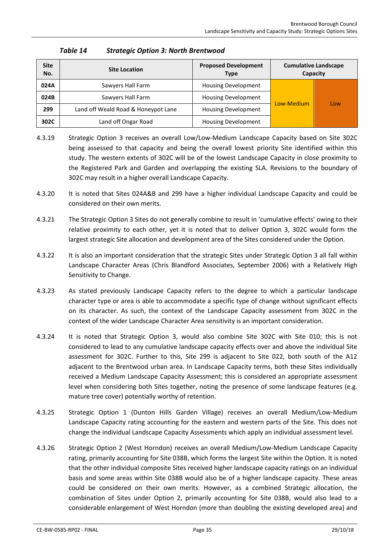<span id="page-35-0"></span>

| <b>Site</b><br>No. | <b>Site Location</b>                | <b>Proposed Development</b><br><b>Type</b> |            | <b>Cumulative Landscape</b><br>Capacity |
|--------------------|-------------------------------------|--------------------------------------------|------------|-----------------------------------------|
| 024A               | Sawyers Hall Farm                   | <b>Housing Development</b>                 |            |                                         |
| 024B               | Sawyers Hall Farm                   | <b>Housing Development</b>                 | Low-Medium |                                         |
| 299                | Land off Weald Road & Honeypot Lane | <b>Housing Development</b>                 |            | Low                                     |
| 302C               | Land off Ongar Road                 | <b>Housing Development</b>                 |            |                                         |

### *Table 14 Strategic Option 3: North Brentwood*

- 4.3.19 Strategic Option 3 receives an overall Low/Low-Medium Landscape Capacity based on Site 302C being assessed to that capacity and being the overall lowest priority Site identified within this study. The western extents of 302C will be of the lowest Landscape Capacity in close proximity to the Registered Park and Garden and overlapping the existing SLA. Revisions to the boundary of 302C may result in a higher overall Landscape Capacity.
- 4.3.20 It is noted that Sites 024A&B and 299 have a higher individual Landscape Capacity and could be considered on their own merits.
- 4.3.21 The Strategic Option 3 Sites do not generally combine to result in 'cumulative effects' owing to their relative proximity to each other, yet it is noted that to deliver Option 3, 302C would form the largest strategic Site allocation and development area of the Sites considered under the Option.
- 4.3.22 It is also an important consideration that the strategic Sites under Strategic Option 3 all fall within Landscape Character Areas (Chris Blandford Associates, September 2006) with a Relatively High Sensitivity to Change.
- 4.3.23 As stated previously Landscape Capacity refers to the degree to which a particular landscape character type or area is able to accommodate a specific type of change without significant effects on its character. As such, the context of the Landscape Capacity assessment from 302C in the context of the wider Landscape Character Area sensitivity is an important consideration.
- 4.3.24 It is noted that Strategic Option 3, would also combine Site 302C with Site 010; this is not considered to lead to any cumulative landscape capacity effects over and above the individual Site assessment for 302C. Further to this, Site 299 is adjacent to Site 022, both south of the A12 adjacent to the Brentwood urban area. In Landscape Capacity terms, both these Sites individually received a Medium Landscape Capacity Assessment; this is considered an appropriate assessment level when considering both Sites together, noting the presence of some landscape features (e.g. mature tree cover) potentially worthy of retention.
- 4.3.25 Strategic Option 1 (Dunton Hills Garden Village) receives an overall Medium/Low-Medium Landscape Capacity rating accounting for the eastern and western parts of the Site. This does not change the individual Landscape Capacity Assessments which apply an individual assessment level.
- 4.3.26 Strategic Option 2 (West Horndon) receives an overall Medium/Low-Medium Landscape Capacity rating, primarily accounting for Site 038B, which forms the largest Site within the Option. It is noted that the other individual composite Sites received higher landscape capacity ratings on an individual basis and some areas within Site 038B would also be of a higher landscape capacity. These areas could be considered on their own merits. However, as a combined Strategic allocation, the combination of Sites under Option 2, primarily accounting for Site 038B, would also lead to a considerable enlargement of West Horndon (more than doubling the existing developed area) and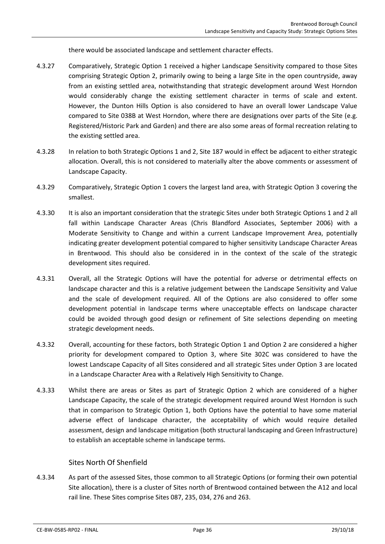there would be associated landscape and settlement character effects.

- 4.3.27 Comparatively, Strategic Option 1 received a higher Landscape Sensitivity compared to those Sites comprising Strategic Option 2, primarily owing to being a large Site in the open countryside, away from an existing settled area, notwithstanding that strategic development around West Horndon would considerably change the existing settlement character in terms of scale and extent. However, the Dunton Hills Option is also considered to have an overall lower Landscape Value compared to Site 038B at West Horndon, where there are designations over parts of the Site (e.g. Registered/Historic Park and Garden) and there are also some areas of formal recreation relating to the existing settled area.
- 4.3.28 In relation to both Strategic Options 1 and 2, Site 187 would in effect be adjacent to either strategic allocation. Overall, this is not considered to materially alter the above comments or assessment of Landscape Capacity.
- 4.3.29 Comparatively, Strategic Option 1 covers the largest land area, with Strategic Option 3 covering the smallest.
- 4.3.30 It is also an important consideration that the strategic Sites under both Strategic Options 1 and 2 all fall within Landscape Character Areas (Chris Blandford Associates, September 2006) with a Moderate Sensitivity to Change and within a current Landscape Improvement Area, potentially indicating greater development potential compared to higher sensitivity Landscape Character Areas in Brentwood. This should also be considered in in the context of the scale of the strategic development sites required.
- 4.3.31 Overall, all the Strategic Options will have the potential for adverse or detrimental effects on landscape character and this is a relative judgement between the Landscape Sensitivity and Value and the scale of development required. All of the Options are also considered to offer some development potential in landscape terms where unacceptable effects on landscape character could be avoided through good design or refinement of Site selections depending on meeting strategic development needs.
- 4.3.32 Overall, accounting for these factors, both Strategic Option 1 and Option 2 are considered a higher priority for development compared to Option 3, where Site 302C was considered to have the lowest Landscape Capacity of all Sites considered and all strategic Sites under Option 3 are located in a Landscape Character Area with a Relatively High Sensitivity to Change.
- 4.3.33 Whilst there are areas or Sites as part of Strategic Option 2 which are considered of a higher Landscape Capacity, the scale of the strategic development required around West Horndon is such that in comparison to Strategic Option 1, both Options have the potential to have some material adverse effect of landscape character, the acceptability of which would require detailed assessment, design and landscape mitigation (both structural landscaping and Green Infrastructure) to establish an acceptable scheme in landscape terms.

### Sites North Of Shenfield

4.3.34 As part of the assessed Sites, those common to all Strategic Options (or forming their own potential Site allocation), there is a cluster of Sites north of Brentwood contained between the A12 and local rail line. These Sites comprise Sites 087, 235, 034, 276 and 263.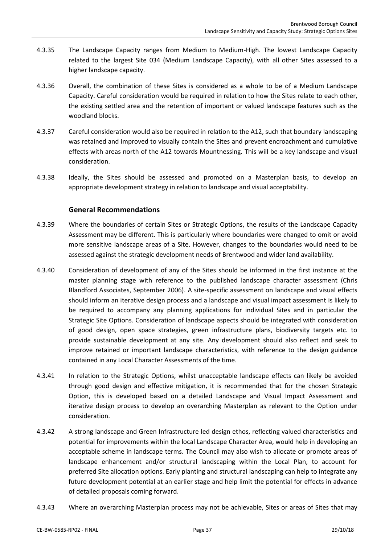- 4.3.35 The Landscape Capacity ranges from Medium to Medium-High. The lowest Landscape Capacity related to the largest Site 034 (Medium Landscape Capacity), with all other Sites assessed to a higher landscape capacity.
- 4.3.36 Overall, the combination of these Sites is considered as a whole to be of a Medium Landscape Capacity. Careful consideration would be required in relation to how the Sites relate to each other, the existing settled area and the retention of important or valued landscape features such as the woodland blocks.
- 4.3.37 Careful consideration would also be required in relation to the A12, such that boundary landscaping was retained and improved to visually contain the Sites and prevent encroachment and cumulative effects with areas north of the A12 towards Mountnessing. This will be a key landscape and visual consideration.
- 4.3.38 Ideally, the Sites should be assessed and promoted on a Masterplan basis, to develop an appropriate development strategy in relation to landscape and visual acceptability.

# **General Recommendations**

- 4.3.39 Where the boundaries of certain Sites or Strategic Options, the results of the Landscape Capacity Assessment may be different. This is particularly where boundaries were changed to omit or avoid more sensitive landscape areas of a Site. However, changes to the boundaries would need to be assessed against the strategic development needs of Brentwood and wider land availability.
- 4.3.40 Consideration of development of any of the Sites should be informed in the first instance at the master planning stage with reference to the published landscape character assessment (Chris Blandford Associates, September 2006). A site-specific assessment on landscape and visual effects should inform an iterative design process and a landscape and visual impact assessment is likely to be required to accompany any planning applications for individual Sites and in particular the Strategic Site Options. Consideration of landscape aspects should be integrated with consideration of good design, open space strategies, green infrastructure plans, biodiversity targets etc. to provide sustainable development at any site. Any development should also reflect and seek to improve retained or important landscape characteristics, with reference to the design guidance contained in any Local Character Assessments of the time.
- 4.3.41 In relation to the Strategic Options, whilst unacceptable landscape effects can likely be avoided through good design and effective mitigation, it is recommended that for the chosen Strategic Option, this is developed based on a detailed Landscape and Visual Impact Assessment and iterative design process to develop an overarching Masterplan as relevant to the Option under consideration.
- 4.3.42 A strong landscape and Green Infrastructure led design ethos, reflecting valued characteristics and potential for improvements within the local Landscape Character Area, would help in developing an acceptable scheme in landscape terms. The Council may also wish to allocate or promote areas of landscape enhancement and/or structural landscaping within the Local Plan, to account for preferred Site allocation options. Early planting and structural landscaping can help to integrate any future development potential at an earlier stage and help limit the potential for effects in advance of detailed proposals coming forward.
- 4.3.43 Where an overarching Masterplan process may not be achievable, Sites or areas of Sites that may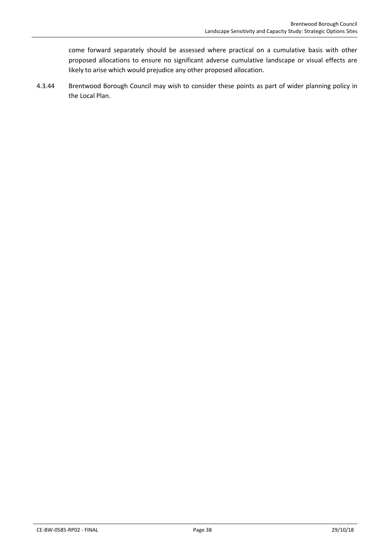come forward separately should be assessed where practical on a cumulative basis with other proposed allocations to ensure no significant adverse cumulative landscape or visual effects are likely to arise which would prejudice any other proposed allocation.

4.3.44 Brentwood Borough Council may wish to consider these points as part of wider planning policy in the Local Plan.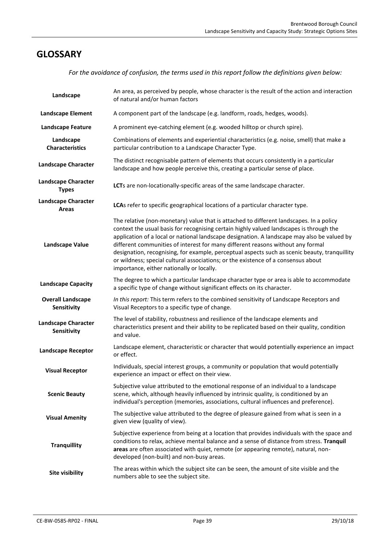# **GLOSSARY**

*For the avoidance of confusion, the terms used in this report follow the definitions given below:*

| Landscape                                  | An area, as perceived by people, whose character is the result of the action and interaction<br>of natural and/or human factors                                                                                                                                                                                                                                                                                                                                                                                                                                                                         |
|--------------------------------------------|---------------------------------------------------------------------------------------------------------------------------------------------------------------------------------------------------------------------------------------------------------------------------------------------------------------------------------------------------------------------------------------------------------------------------------------------------------------------------------------------------------------------------------------------------------------------------------------------------------|
| <b>Landscape Element</b>                   | A component part of the landscape (e.g. landform, roads, hedges, woods).                                                                                                                                                                                                                                                                                                                                                                                                                                                                                                                                |
| <b>Landscape Feature</b>                   | A prominent eye-catching element (e.g. wooded hilltop or church spire).                                                                                                                                                                                                                                                                                                                                                                                                                                                                                                                                 |
| Landscape<br><b>Characteristics</b>        | Combinations of elements and experiential characteristics (e.g. noise, smell) that make a<br>particular contribution to a Landscape Character Type.                                                                                                                                                                                                                                                                                                                                                                                                                                                     |
| <b>Landscape Character</b>                 | The distinct recognisable pattern of elements that occurs consistently in a particular<br>landscape and how people perceive this, creating a particular sense of place.                                                                                                                                                                                                                                                                                                                                                                                                                                 |
| <b>Landscape Character</b><br><b>Types</b> | LCTs are non-locationally-specific areas of the same landscape character.                                                                                                                                                                                                                                                                                                                                                                                                                                                                                                                               |
| <b>Landscape Character</b><br>Areas        | LCAs refer to specific geographical locations of a particular character type.                                                                                                                                                                                                                                                                                                                                                                                                                                                                                                                           |
| <b>Landscape Value</b>                     | The relative (non-monetary) value that is attached to different landscapes. In a policy<br>context the usual basis for recognising certain highly valued landscapes is through the<br>application of a local or national landscape designation. A landscape may also be valued by<br>different communities of interest for many different reasons without any formal<br>designation, recognising, for example, perceptual aspects such as scenic beauty, tranquillity<br>or wildness; special cultural associations; or the existence of a consensus about<br>importance, either nationally or locally. |
| <b>Landscape Capacity</b>                  | The degree to which a particular landscape character type or area is able to accommodate<br>a specific type of change without significant effects on its character.                                                                                                                                                                                                                                                                                                                                                                                                                                     |
| <b>Overall Landscape</b><br>Sensitivity    | In this report: This term refers to the combined sensitivity of Landscape Receptors and<br>Visual Receptors to a specific type of change.                                                                                                                                                                                                                                                                                                                                                                                                                                                               |
| <b>Landscape Character</b><br>Sensitivity  | The level of stability, robustness and resilience of the landscape elements and<br>characteristics present and their ability to be replicated based on their quality, condition<br>and value.                                                                                                                                                                                                                                                                                                                                                                                                           |
| <b>Landscape Receptor</b>                  | Landscape element, characteristic or character that would potentially experience an impact<br>or effect.                                                                                                                                                                                                                                                                                                                                                                                                                                                                                                |
| <b>Visual Receptor</b>                     | Individuals, special interest groups, a community or population that would potentially<br>experience an impact or effect on their view.                                                                                                                                                                                                                                                                                                                                                                                                                                                                 |
| <b>Scenic Beauty</b>                       | Subjective value attributed to the emotional response of an individual to a landscape<br>scene, which, although heavily influenced by intrinsic quality, is conditioned by an<br>individual's perception (memories, associations, cultural influences and preference).                                                                                                                                                                                                                                                                                                                                  |
| <b>Visual Amenity</b>                      | The subjective value attributed to the degree of pleasure gained from what is seen in a<br>given view (quality of view).                                                                                                                                                                                                                                                                                                                                                                                                                                                                                |
| <b>Tranquillity</b>                        | Subjective experience from being at a location that provides individuals with the space and<br>conditions to relax, achieve mental balance and a sense of distance from stress. Tranquil<br>areas are often associated with quiet, remote (or appearing remote), natural, non-<br>developed (non-built) and non-busy areas.                                                                                                                                                                                                                                                                             |
| Site visibility                            | The areas within which the subject site can be seen, the amount of site visible and the<br>numbers able to see the subject site.                                                                                                                                                                                                                                                                                                                                                                                                                                                                        |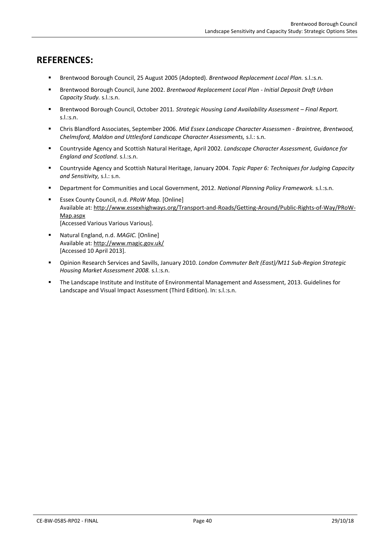# **REFERENCES:**

- Brentwood Borough Council, 25 August 2005 (Adopted). *Brentwood Replacement Local Plan.* s.l.:s.n.
- Brentwood Borough Council, June 2002. *Brentwood Replacement Local Plan - Initial Deposit Draft Urban Capacity Study.* s.l.:s.n.
- Brentwood Borough Council, October 2011. *Strategic Housing Land Availability Assessment Final Report.* s.l.:s.n.
- Chris Blandford Associates, September 2006. *Mid Essex Landscape Character Assessmen - Braintree, Brentwood, Chelmsford, Maldon and Uttlesford Landscape Character Assessments,* s.l.: s.n.
- Countryside Agency and Scottish Natural Heritage, April 2002. *Landscape Character Assessment, Guidance for England and Scotland.* s.l.:s.n.
- Countryside Agency and Scottish Natural Heritage, January 2004. *Topic Paper 6: Techniques for Judging Capacity and Sensitivity,* s.l.: s.n.
- Department for Communities and Local Government, 2012. *National Planning Policy Framework.* s.l.:s.n.
- Essex County Council, n.d. *PRoW Map.* [Online] Available at: http://www.essexhighways.org/Transport-and-Roads/Getting-Around/Public-Rights-of-Way/PRoW-Map.aspx [Accessed Various Various Various].
- Natural England, n.d. *MAGIC.* [Online] Available at: http://www.magic.gov.uk/ [Accessed 10 April 2013].
- Opinion Research Services and Savills, January 2010. *London Commuter Belt (East)/M11 Sub-Region Strategic Housing Market Assessment 2008.* s.l.:s.n.
- The Landscape Institute and Institute of Environmental Management and Assessment, 2013. Guidelines for Landscape and Visual Impact Assessment (Third Edition). In: s.l.:s.n.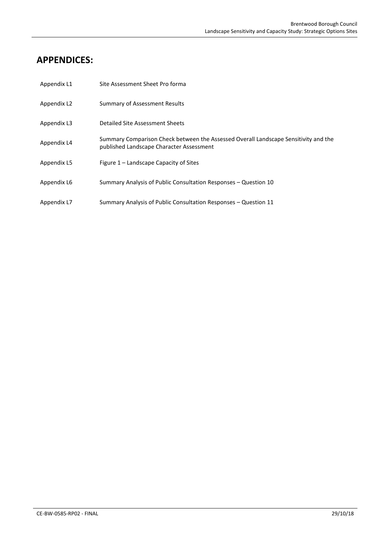# **APPENDICES:**

| Appendix L1 | Site Assessment Sheet Pro forma                                                                                                 |
|-------------|---------------------------------------------------------------------------------------------------------------------------------|
| Appendix L2 | <b>Summary of Assessment Results</b>                                                                                            |
| Appendix L3 | Detailed Site Assessment Sheets                                                                                                 |
| Appendix L4 | Summary Comparison Check between the Assessed Overall Landscape Sensitivity and the<br>published Landscape Character Assessment |
| Appendix L5 | Figure 1 – Landscape Capacity of Sites                                                                                          |
| Appendix L6 | Summary Analysis of Public Consultation Responses - Question 10                                                                 |
| Appendix L7 | Summary Analysis of Public Consultation Responses - Question 11                                                                 |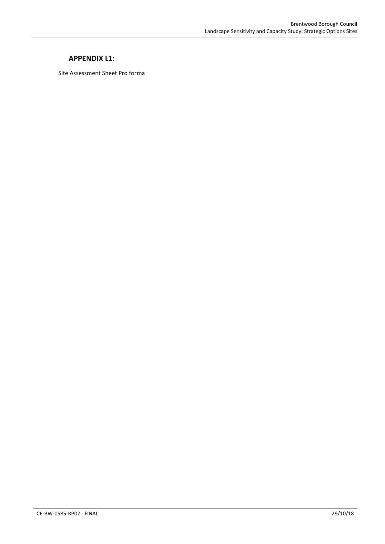### **APPENDIX L1:**

Site Assessment Sheet Pro forma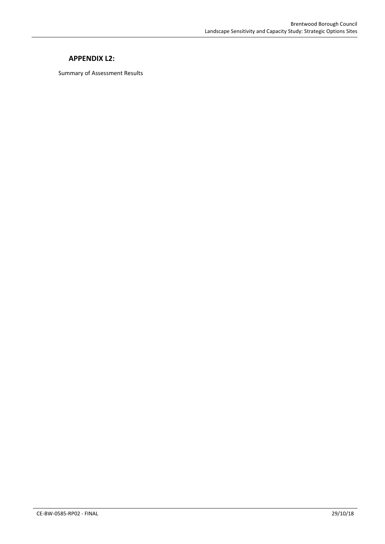### **APPENDIX L2:**

Summary of Assessment Results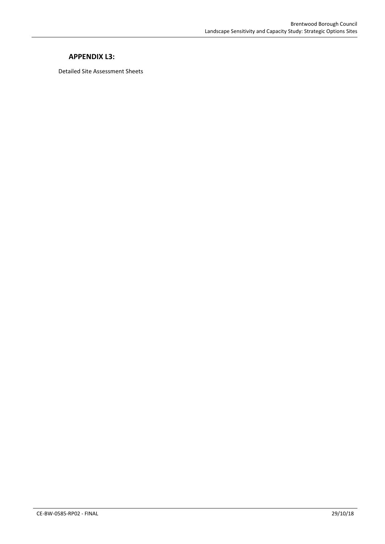### **APPENDIX L3:**

Detailed Site Assessment Sheets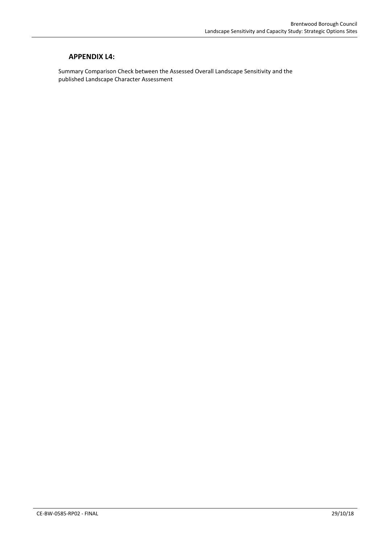### **APPENDIX L4:**

Summary Comparison Check between the Assessed Overall Landscape Sensitivity and the published Landscape Character Assessment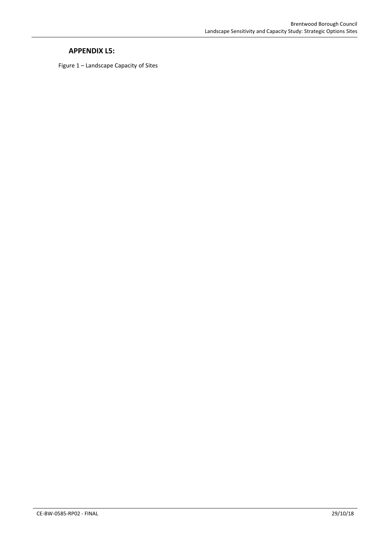### **APPENDIX L5:**

Figure 1 – Landscape Capacity of Sites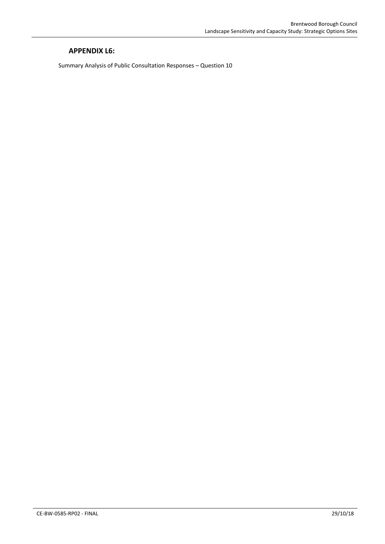### **APPENDIX L6:**

Summary Analysis of Public Consultation Responses – Question 10